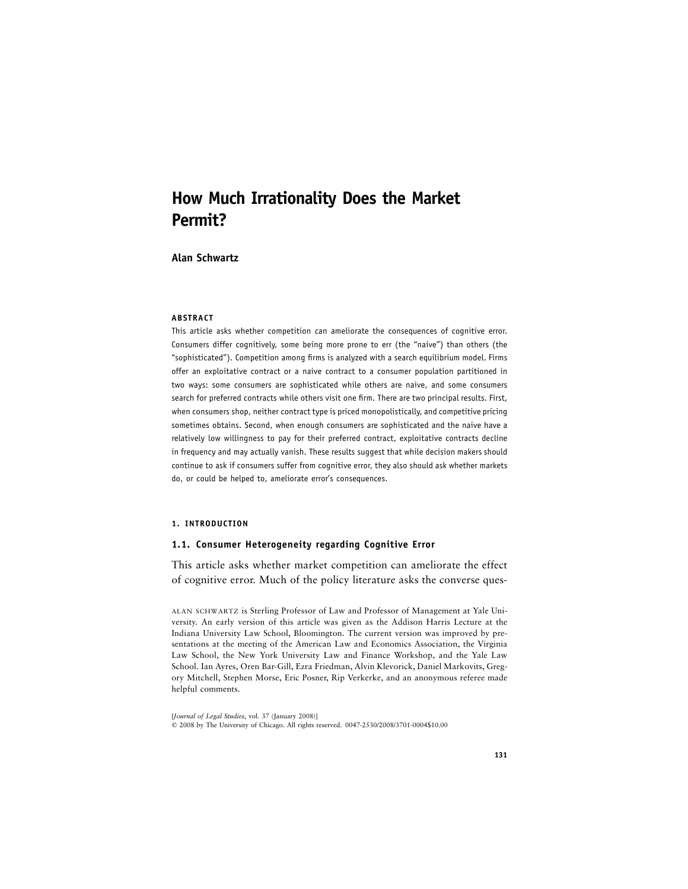# **How Much Irrationality Does the Market Permit?**

**Alan Schwartz**

## **ABSTRACT**

This article asks whether competition can ameliorate the consequences of cognitive error. Consumers differ cognitively, some being more prone to err (the "naive") than others (the "sophisticated"). Competition among firms is analyzed with a search equilibrium model. Firms offer an exploitative contract or a naive contract to a consumer population partitioned in two ways: some consumers are sophisticated while others are naive, and some consumers search for preferred contracts while others visit one firm. There are two principal results. First, when consumers shop, neither contract type is priced monopolistically, and competitive pricing sometimes obtains. Second, when enough consumers are sophisticated and the naive have a relatively low willingness to pay for their preferred contract, exploitative contracts decline in frequency and may actually vanish. These results suggest that while decision makers should continue to ask if consumers suffer from cognitive error, they also should ask whether markets do, or could be helped to, ameliorate error's consequences.

#### **1. INTRODUCTION**

# **1.1. Consumer Heterogeneity regarding Cognitive Error**

This article asks whether market competition can ameliorate the effect of cognitive error. Much of the policy literature asks the converse ques-

ALAN SCHWARTZ is Sterling Professor of Law and Professor of Management at Yale University. An early version of this article was given as the Addison Harris Lecture at the Indiana University Law School, Bloomington. The current version was improved by presentations at the meeting of the American Law and Economics Association, the Virginia Law School, the New York University Law and Finance Workshop, and the Yale Law School. Ian Ayres, Oren Bar-Gill, Ezra Friedman, Alvin Klevorick, Daniel Markovits, Gregory Mitchell, Stephen Morse, Eric Posner, Rip Verkerke, and an anonymous referee made helpful comments.

<sup>[</sup>*Journal of Legal Studies*, vol. 37 (January 2008)] 2008 by The University of Chicago. All rights reserved. 0047-2530/2008/3701-0004\$10.00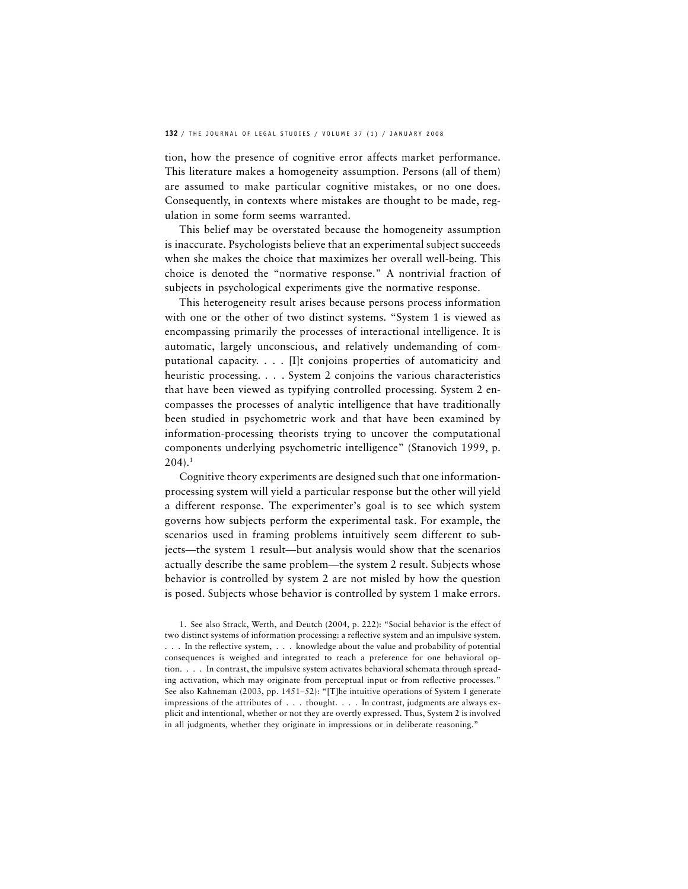tion, how the presence of cognitive error affects market performance. This literature makes a homogeneity assumption. Persons (all of them) are assumed to make particular cognitive mistakes, or no one does. Consequently, in contexts where mistakes are thought to be made, regulation in some form seems warranted.

This belief may be overstated because the homogeneity assumption is inaccurate. Psychologists believe that an experimental subject succeeds when she makes the choice that maximizes her overall well-being. This choice is denoted the "normative response." A nontrivial fraction of subjects in psychological experiments give the normative response.

This heterogeneity result arises because persons process information with one or the other of two distinct systems. "System 1 is viewed as encompassing primarily the processes of interactional intelligence. It is automatic, largely unconscious, and relatively undemanding of computational capacity. . . . [I]t conjoins properties of automaticity and heuristic processing. . . . System 2 conjoins the various characteristics that have been viewed as typifying controlled processing. System 2 encompasses the processes of analytic intelligence that have traditionally been studied in psychometric work and that have been examined by information-processing theorists trying to uncover the computational components underlying psychometric intelligence" (Stanovich 1999, p.  $204$ ).<sup>1</sup>

Cognitive theory experiments are designed such that one informationprocessing system will yield a particular response but the other will yield a different response. The experimenter's goal is to see which system governs how subjects perform the experimental task. For example, the scenarios used in framing problems intuitively seem different to subjects—the system 1 result—but analysis would show that the scenarios actually describe the same problem—the system 2 result. Subjects whose behavior is controlled by system 2 are not misled by how the question is posed. Subjects whose behavior is controlled by system 1 make errors.

1. See also Strack, Werth, and Deutch (2004, p. 222): "Social behavior is the effect of two distinct systems of information processing: a reflective system and an impulsive system. . . . In the reflective system,... knowledge about the value and probability of potential consequences is weighed and integrated to reach a preference for one behavioral option. . . . In contrast, the impulsive system activates behavioral schemata through spreading activation, which may originate from perceptual input or from reflective processes." See also Kahneman (2003, pp. 1451–52): "[T]he intuitive operations of System 1 generate impressions of the attributes of  $\dots$  thought.  $\dots$  In contrast, judgments are always explicit and intentional, whether or not they are overtly expressed. Thus, System 2 is involved in all judgments, whether they originate in impressions or in deliberate reasoning."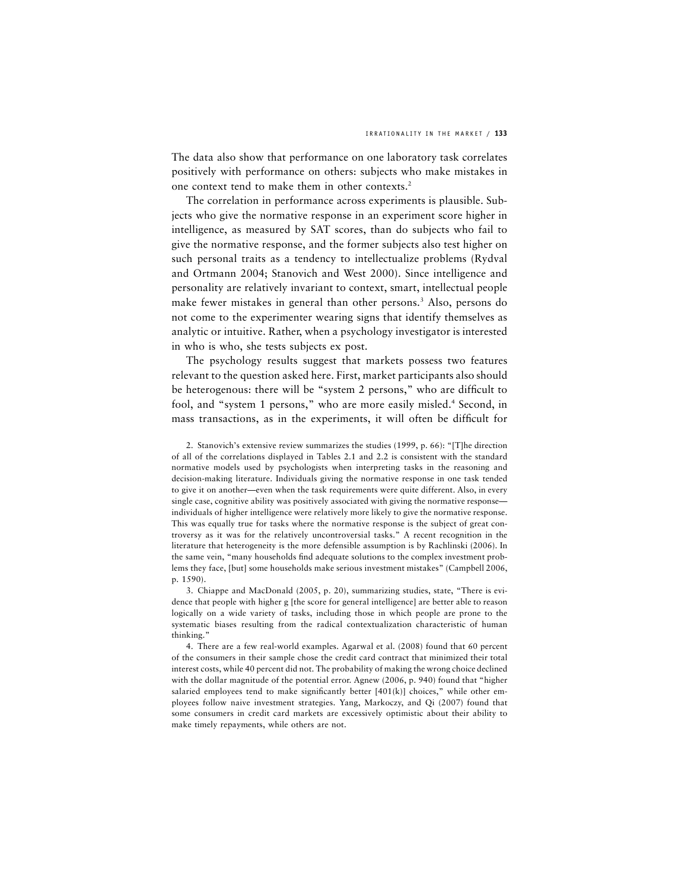The data also show that performance on one laboratory task correlates positively with performance on others: subjects who make mistakes in one context tend to make them in other contexts.<sup>2</sup>

The correlation in performance across experiments is plausible. Subjects who give the normative response in an experiment score higher in intelligence, as measured by SAT scores, than do subjects who fail to give the normative response, and the former subjects also test higher on such personal traits as a tendency to intellectualize problems (Rydval and Ortmann 2004; Stanovich and West 2000). Since intelligence and personality are relatively invariant to context, smart, intellectual people make fewer mistakes in general than other persons.<sup>3</sup> Also, persons do not come to the experimenter wearing signs that identify themselves as analytic or intuitive. Rather, when a psychology investigator is interested in who is who, she tests subjects ex post.

The psychology results suggest that markets possess two features relevant to the question asked here. First, market participants also should be heterogenous: there will be "system 2 persons," who are difficult to fool, and "system 1 persons," who are more easily misled.<sup>4</sup> Second, in mass transactions, as in the experiments, it will often be difficult for

3. Chiappe and MacDonald (2005, p. 20), summarizing studies, state, "There is evidence that people with higher g [the score for general intelligence] are better able to reason logically on a wide variety of tasks, including those in which people are prone to the systematic biases resulting from the radical contextualization characteristic of human thinking."

4. There are a few real-world examples. Agarwal et al. (2008) found that 60 percent of the consumers in their sample chose the credit card contract that minimized their total interest costs, while 40 percent did not. The probability of making the wrong choice declined with the dollar magnitude of the potential error. Agnew (2006, p. 940) found that "higher salaried employees tend to make significantly better [401(k)] choices," while other employees follow naive investment strategies. Yang, Markoczy, and Qi (2007) found that some consumers in credit card markets are excessively optimistic about their ability to make timely repayments, while others are not.

<sup>2.</sup> Stanovich's extensive review summarizes the studies (1999, p. 66): "[T]he direction of all of the correlations displayed in Tables 2.1 and 2.2 is consistent with the standard normative models used by psychologists when interpreting tasks in the reasoning and decision-making literature. Individuals giving the normative response in one task tended to give it on another—even when the task requirements were quite different. Also, in every single case, cognitive ability was positively associated with giving the normative response individuals of higher intelligence were relatively more likely to give the normative response. This was equally true for tasks where the normative response is the subject of great controversy as it was for the relatively uncontroversial tasks." A recent recognition in the literature that heterogeneity is the more defensible assumption is by Rachlinski (2006). In the same vein, "many households find adequate solutions to the complex investment problems they face, [but] some households make serious investment mistakes" (Campbell 2006, p. 1590).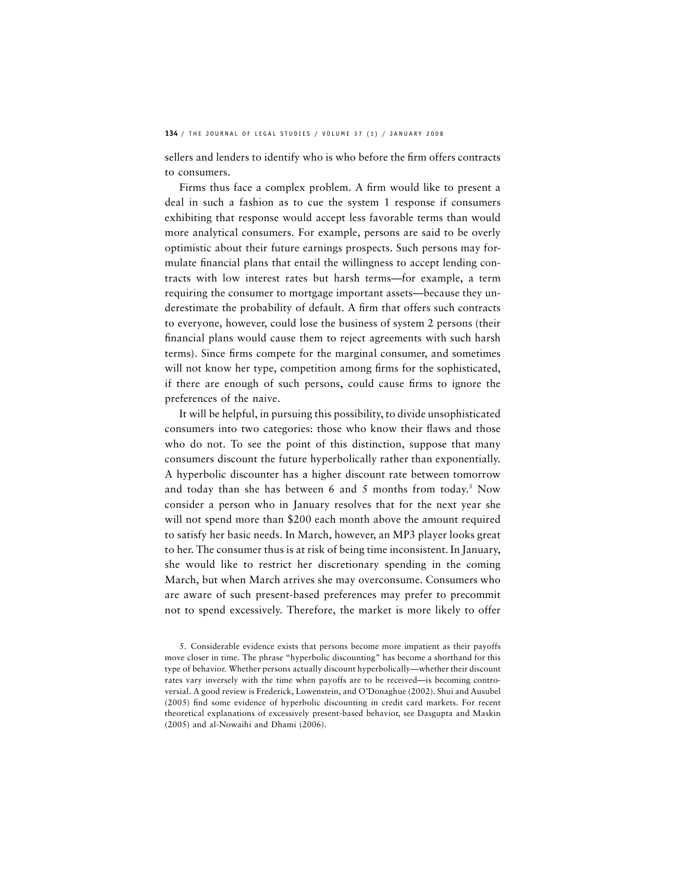sellers and lenders to identify who is who before the firm offers contracts to consumers.

Firms thus face a complex problem. A firm would like to present a deal in such a fashion as to cue the system 1 response if consumers exhibiting that response would accept less favorable terms than would more analytical consumers. For example, persons are said to be overly optimistic about their future earnings prospects. Such persons may formulate financial plans that entail the willingness to accept lending contracts with low interest rates but harsh terms—for example, a term requiring the consumer to mortgage important assets—because they underestimate the probability of default. A firm that offers such contracts to everyone, however, could lose the business of system 2 persons (their financial plans would cause them to reject agreements with such harsh terms). Since firms compete for the marginal consumer, and sometimes will not know her type, competition among firms for the sophisticated, if there are enough of such persons, could cause firms to ignore the preferences of the naive.

It will be helpful, in pursuing this possibility, to divide unsophisticated consumers into two categories: those who know their flaws and those who do not. To see the point of this distinction, suppose that many consumers discount the future hyperbolically rather than exponentially. A hyperbolic discounter has a higher discount rate between tomorrow and today than she has between  $6$  and  $5$  months from today.<sup>5</sup> Now consider a person who in January resolves that for the next year she will not spend more than \$200 each month above the amount required to satisfy her basic needs. In March, however, an MP3 player looks great to her. The consumer thus is at risk of being time inconsistent. In January, she would like to restrict her discretionary spending in the coming March, but when March arrives she may overconsume. Consumers who are aware of such present-based preferences may prefer to precommit not to spend excessively. Therefore, the market is more likely to offer

<sup>5.</sup> Considerable evidence exists that persons become more impatient as their payoffs move closer in time. The phrase "hyperbolic discounting" has become a shorthand for this type of behavior. Whether persons actually discount hyperbolically—whether their discount rates vary inversely with the time when payoffs are to be received—is becoming controversial. A good review is Frederick, Lowenstein, and O'Donaghue (2002). Shui and Ausubel (2005) find some evidence of hyperbolic discounting in credit card markets. For recent theoretical explanations of excessively present-based behavior, see Dasgupta and Maskin (2005) and al-Nowaihi and Dhami (2006).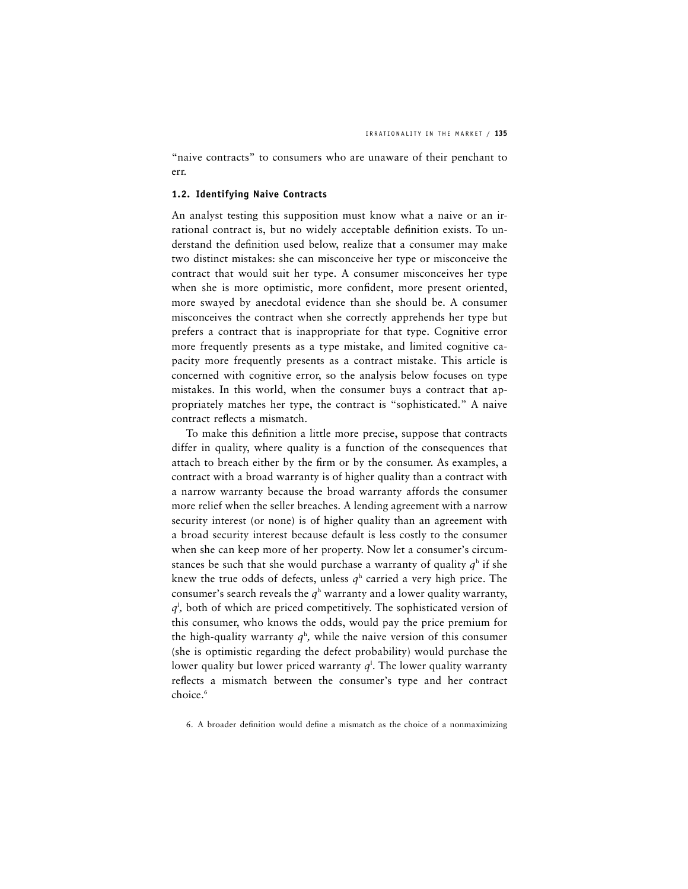"naive contracts" to consumers who are unaware of their penchant to err.

## **1.2. Identifying Naive Contracts**

An analyst testing this supposition must know what a naive or an irrational contract is, but no widely acceptable definition exists. To understand the definition used below, realize that a consumer may make two distinct mistakes: she can misconceive her type or misconceive the contract that would suit her type. A consumer misconceives her type when she is more optimistic, more confident, more present oriented, more swayed by anecdotal evidence than she should be. A consumer misconceives the contract when she correctly apprehends her type but prefers a contract that is inappropriate for that type. Cognitive error more frequently presents as a type mistake, and limited cognitive capacity more frequently presents as a contract mistake. This article is concerned with cognitive error, so the analysis below focuses on type mistakes. In this world, when the consumer buys a contract that appropriately matches her type, the contract is "sophisticated." A naive contract reflects a mismatch.

To make this definition a little more precise, suppose that contracts differ in quality, where quality is a function of the consequences that attach to breach either by the firm or by the consumer. As examples, a contract with a broad warranty is of higher quality than a contract with a narrow warranty because the broad warranty affords the consumer more relief when the seller breaches. A lending agreement with a narrow security interest (or none) is of higher quality than an agreement with a broad security interest because default is less costly to the consumer when she can keep more of her property. Now let a consumer's circumstances be such that she would purchase a warranty of quality  $q<sup>h</sup>$  if she knew the true odds of defects, unless  $q<sup>h</sup>$  carried a very high price. The consumer's search reveals the  $q<sup>h</sup>$  warranty and a lower quality warranty,  $q<sup>1</sup>$ , both of which are priced competitively. The sophisticated version of this consumer, who knows the odds, would pay the price premium for the high-quality warranty  $q^h$ , while the naive version of this consumer (she is optimistic regarding the defect probability) would purchase the lower quality but lower priced warranty *q*<sup>1</sup>. The lower quality warranty reflects a mismatch between the consumer's type and her contract choice.<sup>6</sup>

6. A broader definition would define a mismatch as the choice of a nonmaximizing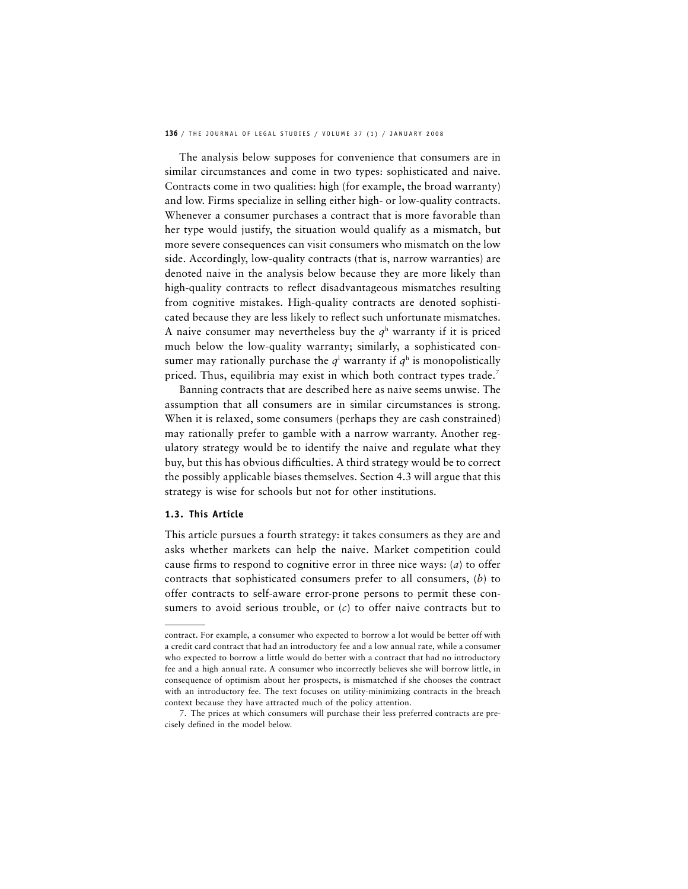The analysis below supposes for convenience that consumers are in similar circumstances and come in two types: sophisticated and naive. Contracts come in two qualities: high (for example, the broad warranty) and low. Firms specialize in selling either high- or low-quality contracts. Whenever a consumer purchases a contract that is more favorable than her type would justify, the situation would qualify as a mismatch, but more severe consequences can visit consumers who mismatch on the low side. Accordingly, low-quality contracts (that is, narrow warranties) are denoted naive in the analysis below because they are more likely than high-quality contracts to reflect disadvantageous mismatches resulting from cognitive mistakes. High-quality contracts are denoted sophisticated because they are less likely to reflect such unfortunate mismatches. A naive consumer may nevertheless buy the  $q<sup>h</sup>$  warranty if it is priced much below the low-quality warranty; similarly, a sophisticated consumer may rationally purchase the  $q^l$  warranty if  $q^h$  is monopolistically priced. Thus, equilibria may exist in which both contract types trade.<sup>7</sup>

Banning contracts that are described here as naive seems unwise. The assumption that all consumers are in similar circumstances is strong. When it is relaxed, some consumers (perhaps they are cash constrained) may rationally prefer to gamble with a narrow warranty. Another regulatory strategy would be to identify the naive and regulate what they buy, but this has obvious difficulties. A third strategy would be to correct the possibly applicable biases themselves. Section 4.3 will argue that this strategy is wise for schools but not for other institutions.

# **1.3. This Article**

This article pursues a fourth strategy: it takes consumers as they are and asks whether markets can help the naive. Market competition could cause firms to respond to cognitive error in three nice ways: (*a*) to offer contracts that sophisticated consumers prefer to all consumers, (*b*) to offer contracts to self-aware error-prone persons to permit these consumers to avoid serious trouble, or (*c*) to offer naive contracts but to

contract. For example, a consumer who expected to borrow a lot would be better off with a credit card contract that had an introductory fee and a low annual rate, while a consumer who expected to borrow a little would do better with a contract that had no introductory fee and a high annual rate. A consumer who incorrectly believes she will borrow little, in consequence of optimism about her prospects, is mismatched if she chooses the contract with an introductory fee. The text focuses on utility-minimizing contracts in the breach context because they have attracted much of the policy attention.

<sup>7.</sup> The prices at which consumers will purchase their less preferred contracts are precisely defined in the model below.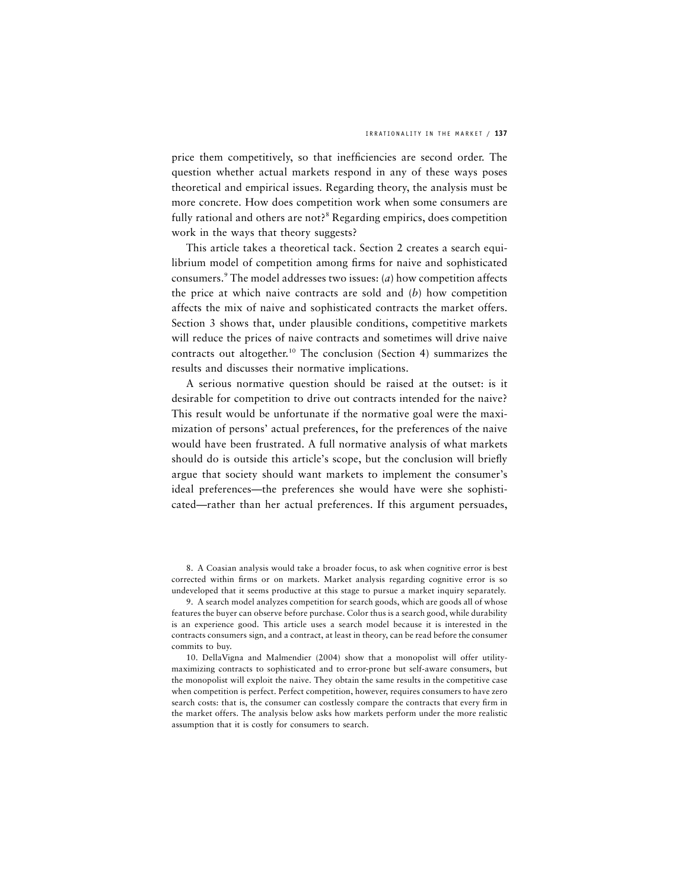price them competitively, so that inefficiencies are second order. The question whether actual markets respond in any of these ways poses theoretical and empirical issues. Regarding theory, the analysis must be more concrete. How does competition work when some consumers are fully rational and others are not?<sup>8</sup> Regarding empirics, does competition work in the ways that theory suggests?

This article takes a theoretical tack. Section 2 creates a search equilibrium model of competition among firms for naive and sophisticated consumers.9 The model addresses two issues: (*a*) how competition affects the price at which naive contracts are sold and (*b*) how competition affects the mix of naive and sophisticated contracts the market offers. Section 3 shows that, under plausible conditions, competitive markets will reduce the prices of naive contracts and sometimes will drive naive contracts out altogether.10 The conclusion (Section 4) summarizes the results and discusses their normative implications.

A serious normative question should be raised at the outset: is it desirable for competition to drive out contracts intended for the naive? This result would be unfortunate if the normative goal were the maximization of persons' actual preferences, for the preferences of the naive would have been frustrated. A full normative analysis of what markets should do is outside this article's scope, but the conclusion will briefly argue that society should want markets to implement the consumer's ideal preferences—the preferences she would have were she sophisticated—rather than her actual preferences. If this argument persuades,

8. A Coasian analysis would take a broader focus, to ask when cognitive error is best corrected within firms or on markets. Market analysis regarding cognitive error is so undeveloped that it seems productive at this stage to pursue a market inquiry separately.

9. A search model analyzes competition for search goods, which are goods all of whose features the buyer can observe before purchase. Color thus is a search good, while durability is an experience good. This article uses a search model because it is interested in the contracts consumers sign, and a contract, at least in theory, can be read before the consumer commits to buy.

10. DellaVigna and Malmendier (2004) show that a monopolist will offer utilitymaximizing contracts to sophisticated and to error-prone but self-aware consumers, but the monopolist will exploit the naive. They obtain the same results in the competitive case when competition is perfect. Perfect competition, however, requires consumers to have zero search costs: that is, the consumer can costlessly compare the contracts that every firm in the market offers. The analysis below asks how markets perform under the more realistic assumption that it is costly for consumers to search.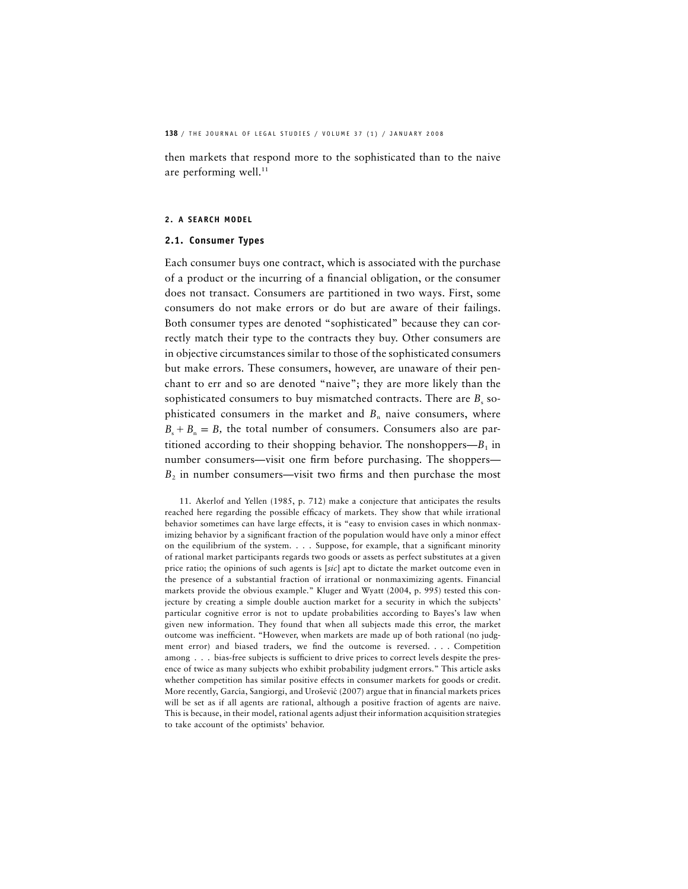then markets that respond more to the sophisticated than to the naive are performing well. $^{11}$ 

#### **2. A SEARCH MODEL**

# **2.1. Consumer Types**

Each consumer buys one contract, which is associated with the purchase of a product or the incurring of a financial obligation, or the consumer does not transact. Consumers are partitioned in two ways. First, some consumers do not make errors or do but are aware of their failings. Both consumer types are denoted "sophisticated" because they can correctly match their type to the contracts they buy. Other consumers are in objective circumstances similar to those of the sophisticated consumers but make errors. These consumers, however, are unaware of their penchant to err and so are denoted "naive"; they are more likely than the sophisticated consumers to buy mismatched contracts. There are  $B<sub>s</sub>$  sophisticated consumers in the market and  $B_n$  naive consumers, where  $B_{s} + B_{n} = B$ , the total number of consumers. Consumers also are partitioned according to their shopping behavior. The nonshoppers— $B_1$  in number consumers—visit one firm before purchasing. The shoppers— *B*<sup>2</sup> in number consumers—visit two firms and then purchase the most

11. Akerlof and Yellen (1985, p. 712) make a conjecture that anticipates the results reached here regarding the possible efficacy of markets. They show that while irrational behavior sometimes can have large effects, it is "easy to envision cases in which nonmaximizing behavior by a significant fraction of the population would have only a minor effect on the equilibrium of the system.... Suppose, for example, that a significant minority of rational market participants regards two goods or assets as perfect substitutes at a given price ratio; the opinions of such agents is [*sic*] apt to dictate the market outcome even in the presence of a substantial fraction of irrational or nonmaximizing agents. Financial markets provide the obvious example." Kluger and Wyatt (2004, p. 995) tested this conjecture by creating a simple double auction market for a security in which the subjects' particular cognitive error is not to update probabilities according to Bayes's law when given new information. They found that when all subjects made this error, the market outcome was inefficient. "However, when markets are made up of both rational (no judgment error) and biased traders, we find the outcome is reversed. . . . Competition among... bias-free subjects is sufficient to drive prices to correct levels despite the presence of twice as many subjects who exhibit probability judgment errors." This article asks whether competition has similar positive effects in consumer markets for goods or credit. More recently, García, Sangiorgi, and Urošević (2007) argue that in financial markets prices will be set as if all agents are rational, although a positive fraction of agents are naive. This is because, in their model, rational agents adjust their information acquisition strategies to take account of the optimists' behavior.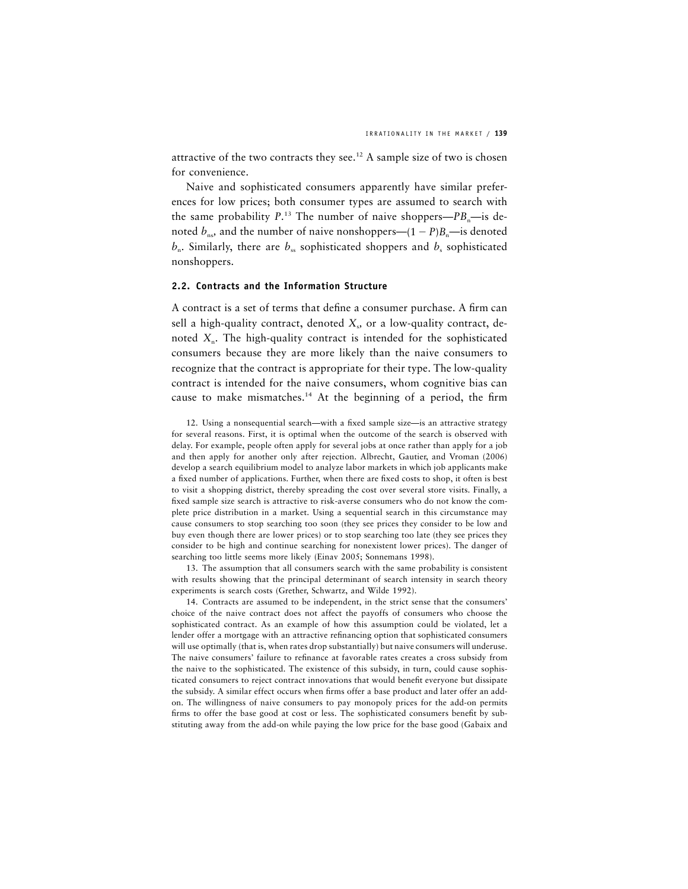attractive of the two contracts they see.<sup>12</sup> A sample size of two is chosen for convenience.

Naive and sophisticated consumers apparently have similar preferences for low prices; both consumer types are assumed to search with the same probability *P*.<sup>13</sup> The number of naive shoppers—*PB*<sub>n</sub>—is denoted  $b_{\text{ns}}$ , and the number of naive nonshoppers— $(1 - P)B_{\text{n}}$ —is denoted  $b_n$ . Similarly, there are  $b_{ss}$  sophisticated shoppers and  $b_s$  sophisticated nonshoppers.

# **2.2. Contracts and the Information Structure**

A contract is a set of terms that define a consumer purchase. A firm can sell a high-quality contract, denoted  $X<sub>s</sub>$ , or a low-quality contract, denoted *X*n. The high-quality contract is intended for the sophisticated consumers because they are more likely than the naive consumers to recognize that the contract is appropriate for their type. The low-quality contract is intended for the naive consumers, whom cognitive bias can cause to make mismatches.<sup>14</sup> At the beginning of a period, the firm

12. Using a nonsequential search—with a fixed sample size—is an attractive strategy for several reasons. First, it is optimal when the outcome of the search is observed with delay. For example, people often apply for several jobs at once rather than apply for a job and then apply for another only after rejection. Albrecht, Gautier, and Vroman (2006) develop a search equilibrium model to analyze labor markets in which job applicants make a fixed number of applications. Further, when there are fixed costs to shop, it often is best to visit a shopping district, thereby spreading the cost over several store visits. Finally, a fixed sample size search is attractive to risk-averse consumers who do not know the complete price distribution in a market. Using a sequential search in this circumstance may cause consumers to stop searching too soon (they see prices they consider to be low and buy even though there are lower prices) or to stop searching too late (they see prices they consider to be high and continue searching for nonexistent lower prices). The danger of searching too little seems more likely (Einav 2005; Sonnemans 1998).

13. The assumption that all consumers search with the same probability is consistent with results showing that the principal determinant of search intensity in search theory experiments is search costs (Grether, Schwartz, and Wilde 1992).

14. Contracts are assumed to be independent, in the strict sense that the consumers' choice of the naive contract does not affect the payoffs of consumers who choose the sophisticated contract. As an example of how this assumption could be violated, let a lender offer a mortgage with an attractive refinancing option that sophisticated consumers will use optimally (that is, when rates drop substantially) but naive consumers will underuse. The naive consumers' failure to refinance at favorable rates creates a cross subsidy from the naive to the sophisticated. The existence of this subsidy, in turn, could cause sophisticated consumers to reject contract innovations that would benefit everyone but dissipate the subsidy. A similar effect occurs when firms offer a base product and later offer an addon. The willingness of naive consumers to pay monopoly prices for the add-on permits firms to offer the base good at cost or less. The sophisticated consumers benefit by substituting away from the add-on while paying the low price for the base good (Gabaix and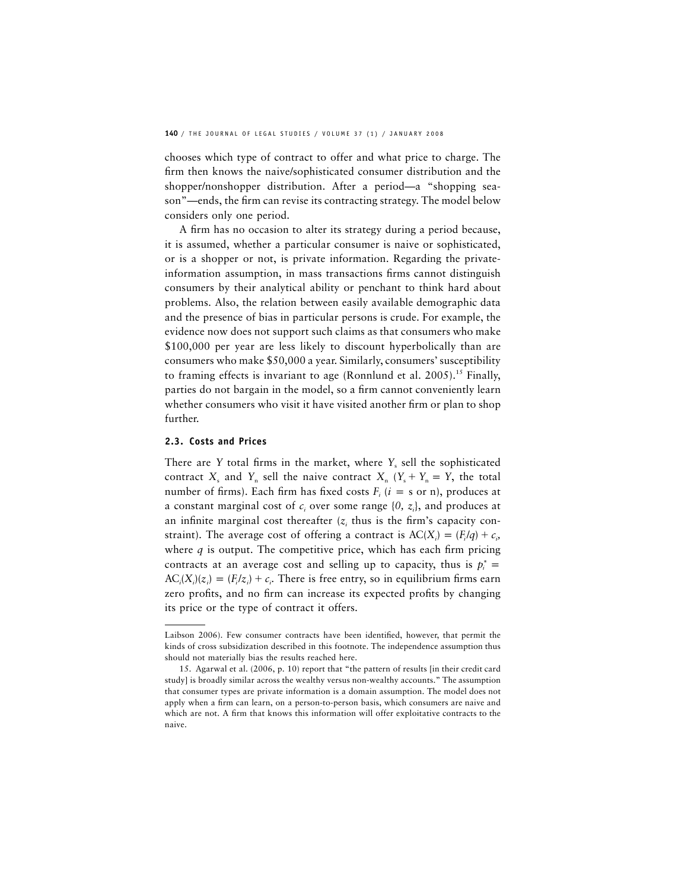chooses which type of contract to offer and what price to charge. The firm then knows the naive/sophisticated consumer distribution and the shopper/nonshopper distribution. After a period—a "shopping season"—ends, the firm can revise its contracting strategy. The model below considers only one period.

A firm has no occasion to alter its strategy during a period because, it is assumed, whether a particular consumer is naive or sophisticated, or is a shopper or not, is private information. Regarding the privateinformation assumption, in mass transactions firms cannot distinguish consumers by their analytical ability or penchant to think hard about problems. Also, the relation between easily available demographic data and the presence of bias in particular persons is crude. For example, the evidence now does not support such claims as that consumers who make \$100,000 per year are less likely to discount hyperbolically than are consumers who make \$50,000 a year. Similarly, consumers' susceptibility to framing effects is invariant to age (Ronnlund et al.  $2005$ ).<sup>15</sup> Finally, parties do not bargain in the model, so a firm cannot conveniently learn whether consumers who visit it have visited another firm or plan to shop further.

## **2.3. Costs and Prices**

There are *Y* total firms in the market, where  $Y_s$  sell the sophisticated contract *X*<sub>s</sub> and *Y*<sub>n</sub> sell the naive contract *X*<sub>n</sub> (*Y*<sub>s</sub> + *Y*<sub>n</sub> = *Y*, the total number of firms). Each firm has fixed costs  $F_i$  ( $i = s$  or n), produces at a constant marginal cost of *ci* over some range {*0, zi* }, and produces at an infinite marginal cost thereafter  $(z<sub>i</sub>$  thus is the firm's capacity constraint). The average cost of offering a contract is  $AC(X_i) = (F_i/q) + c_i$ where *q* is output. The competitive price, which has each firm pricing contracts at an average cost and selling up to capacity, thus is  $p_i^* =$  $AC_i(X_i)(z_i) = (F_i/z_i) + c_i$ . There is free entry, so in equilibrium firms earn zero profits, and no firm can increase its expected profits by changing its price or the type of contract it offers.

Laibson 2006). Few consumer contracts have been identified, however, that permit the kinds of cross subsidization described in this footnote. The independence assumption thus should not materially bias the results reached here.

<sup>15.</sup> Agarwal et al. (2006, p. 10) report that "the pattern of results [in their credit card study] is broadly similar across the wealthy versus non-wealthy accounts." The assumption that consumer types are private information is a domain assumption. The model does not apply when a firm can learn, on a person-to-person basis, which consumers are naive and which are not. A firm that knows this information will offer exploitative contracts to the naive.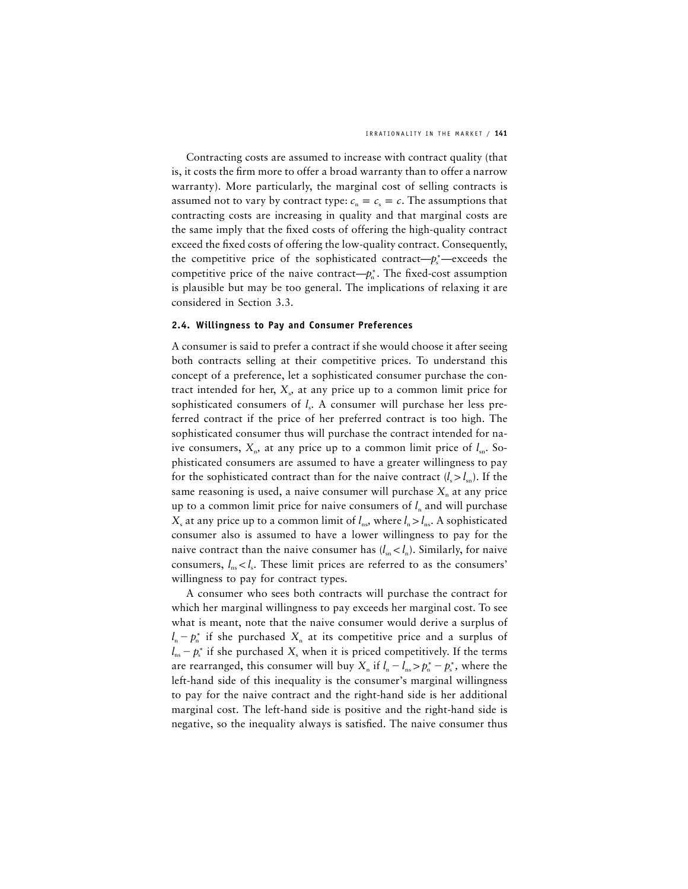Contracting costs are assumed to increase with contract quality (that is, it costs the firm more to offer a broad warranty than to offer a narrow warranty). More particularly, the marginal cost of selling contracts is assumed not to vary by contract type:  $c_n = c_s = c$ . The assumptions that contracting costs are increasing in quality and that marginal costs are the same imply that the fixed costs of offering the high-quality contract exceed the fixed costs of offering the low-quality contract. Consequently, the competitive price of the sophisticated contract— $p_s^*$ —exceeds the competitive price of the naive contract— $p_n^*$ . The fixed-cost assumption is plausible but may be too general. The implications of relaxing it are considered in Section 3.3.

#### **2.4. Willingness to Pay and Consumer Preferences**

A consumer is said to prefer a contract if she would choose it after seeing both contracts selling at their competitive prices. To understand this concept of a preference, let a sophisticated consumer purchase the contract intended for her,  $X<sub>s</sub>$ , at any price up to a common limit price for sophisticated consumers of *l<sub>s</sub>*. A consumer will purchase her less preferred contract if the price of her preferred contract is too high. The sophisticated consumer thus will purchase the contract intended for naive consumers,  $X_n$ , at any price up to a common limit price of  $l_{sn}$ . Sophisticated consumers are assumed to have a greater willingness to pay for the sophisticated contract than for the naive contract  $(l_{\rm s} > l_{\rm m})$ . If the same reasoning is used, a naive consumer will purchase  $X_n$  at any price up to a common limit price for naive consumers of  $l_n$  and will purchase  $X_s$  at any price up to a common limit of  $l_{ns}$ , where  $l_n > l_{ns}$ . A sophisticated consumer also is assumed to have a lower willingness to pay for the naive contract than the naive consumer has  $(l_{\rm sn} < l_{\rm n})$ . Similarly, for naive consumers,  $l_{ns} < l_s$ . These limit prices are referred to as the consumers' willingness to pay for contract types.

A consumer who sees both contracts will purchase the contract for which her marginal willingness to pay exceeds her marginal cost. To see what is meant, note that the naive consumer would derive a surplus of  $i_n - p_n^*$  if she purchased  $X_n$  at its competitive price and a surplus of  $l_{\rm ns}$  –  $p_{\rm s}^*$  if she purchased  $X_{\rm s}$  when it is priced competitively. If the terms are rearranged, this consumer will buy  $X_n$  if  $l_n - l_{ns} > p_n^* - p_s^*$ , where the left-hand side of this inequality is the consumer's marginal willingness to pay for the naive contract and the right-hand side is her additional marginal cost. The left-hand side is positive and the right-hand side is negative, so the inequality always is satisfied. The naive consumer thus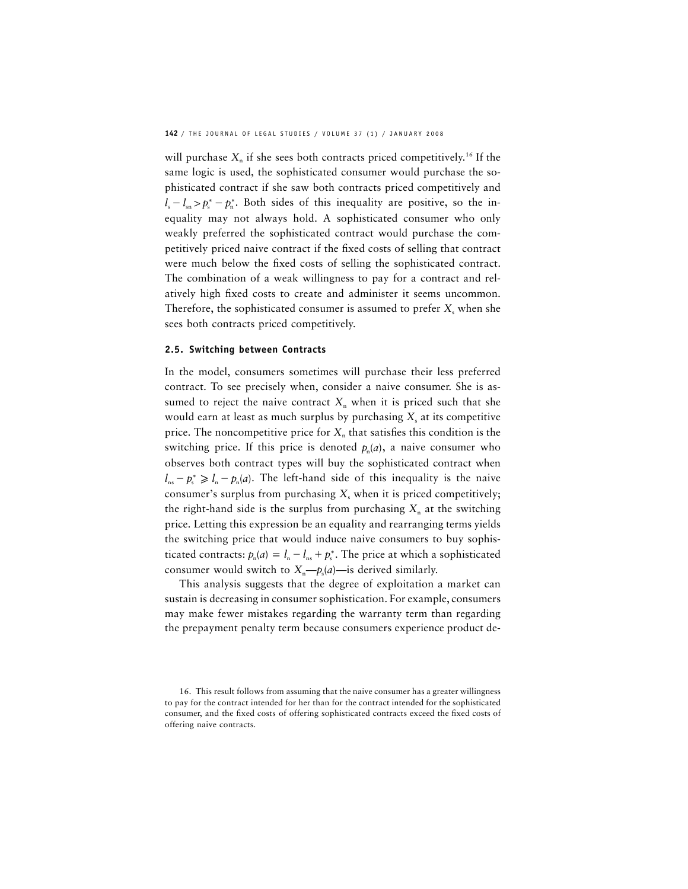will purchase  $X_n$  if she sees both contracts priced competitively.<sup>16</sup> If the same logic is used, the sophisticated consumer would purchase the sophisticated contract if she saw both contracts priced competitively and  $l_s - l_{sn} > p_s^* - p_n^*$ . Both sides of this inequality are positive, so the inequality may not always hold. A sophisticated consumer who only weakly preferred the sophisticated contract would purchase the competitively priced naive contract if the fixed costs of selling that contract were much below the fixed costs of selling the sophisticated contract. The combination of a weak willingness to pay for a contract and relatively high fixed costs to create and administer it seems uncommon. Therefore, the sophisticated consumer is assumed to prefer  $X_s$  when she sees both contracts priced competitively.

### **2.5. Switching between Contracts**

In the model, consumers sometimes will purchase their less preferred contract. To see precisely when, consider a naive consumer. She is assumed to reject the naive contract  $X_n$  when it is priced such that she would earn at least as much surplus by purchasing  $X_s$  at its competitive price. The noncompetitive price for  $X_n$  that satisfies this condition is the switching price. If this price is denoted  $p_n(a)$ , a naive consumer who observes both contract types will buy the sophisticated contract when  $l_{\text{ns}} - p_s^* \ge l_{\text{n}} - p_{\text{n}}(a)$ . The left-hand side of this inequality is the naive consumer's surplus from purchasing  $X_s$  when it is priced competitively; the right-hand side is the surplus from purchasing  $X_n$  at the switching price. Letting this expression be an equality and rearranging terms yields the switching price that would induce naive consumers to buy sophisticated contracts:  $p_n(a) = l_n - l_{ns} + p_s^*$ . The price at which a sophisticated consumer would switch to  $X_n \rightarrow p_s(a)$  is derived similarly.

This analysis suggests that the degree of exploitation a market can sustain is decreasing in consumer sophistication. For example, consumers may make fewer mistakes regarding the warranty term than regarding the prepayment penalty term because consumers experience product de-

<sup>16.</sup> This result follows from assuming that the naive consumer has a greater willingness to pay for the contract intended for her than for the contract intended for the sophisticated consumer, and the fixed costs of offering sophisticated contracts exceed the fixed costs of offering naive contracts.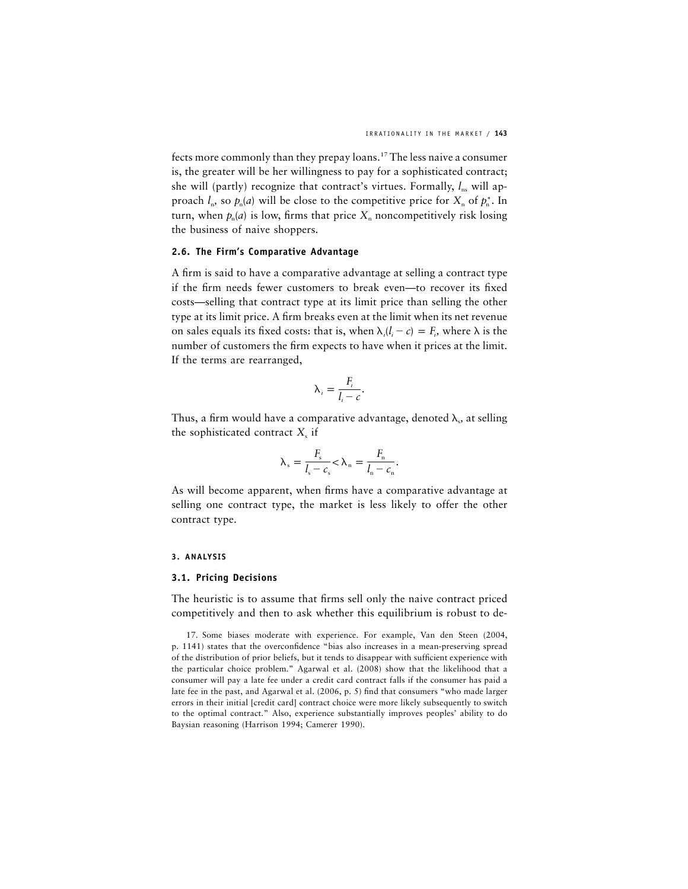fects more commonly than they prepay loans.17 The less naive a consumer is, the greater will be her willingness to pay for a sophisticated contract; she will (partly) recognize that contract's virtues. Formally,  $l_{ns}$  will approach  $l_n$ , so  $p_n(a)$  will be close to the competitive price for  $X_n$  of  $p_n^*$ . In turn, when  $p_n(a)$  is low, firms that price  $X_n$  noncompetitively risk losing the business of naive shoppers.

# **2.6. The Firm's Comparative Advantage**

A firm is said to have a comparative advantage at selling a contract type if the firm needs fewer customers to break even—to recover its fixed costs—selling that contract type at its limit price than selling the other type at its limit price. A firm breaks even at the limit when its net revenue on sales equals its fixed costs: that is, when  $\lambda_i (l_i - c) = F_i$ , where  $\lambda$  is the number of customers the firm expects to have when it prices at the limit. If the terms are rearranged,

$$
\lambda_i = \frac{F_i}{I_i - c}.
$$

Thus, a firm would have a comparative advantage, denoted  $\lambda_s$ , at selling the sophisticated contract  $X_s$  if

$$
\lambda_{s} = \frac{F_{s}}{l_{s} - c_{s}} < \lambda_{n} = \frac{F_{n}}{l_{n} - c_{n}}.
$$

As will become apparent, when firms have a comparative advantage at selling one contract type, the market is less likely to offer the other contract type.

# **3. ANALYSIS**

## **3.1. Pricing Decisions**

The heuristic is to assume that firms sell only the naive contract priced competitively and then to ask whether this equilibrium is robust to de-

<sup>17.</sup> Some biases moderate with experience. For example, Van den Steen (2004, p. 1141) states that the overconfidence "bias also increases in a mean-preserving spread of the distribution of prior beliefs, but it tends to disappear with sufficient experience with the particular choice problem." Agarwal et al. (2008) show that the likelihood that a consumer will pay a late fee under a credit card contract falls if the consumer has paid a late fee in the past, and Agarwal et al. (2006, p. 5) find that consumers "who made larger errors in their initial [credit card] contract choice were more likely subsequently to switch to the optimal contract." Also, experience substantially improves peoples' ability to do Baysian reasoning (Harrison 1994; Camerer 1990).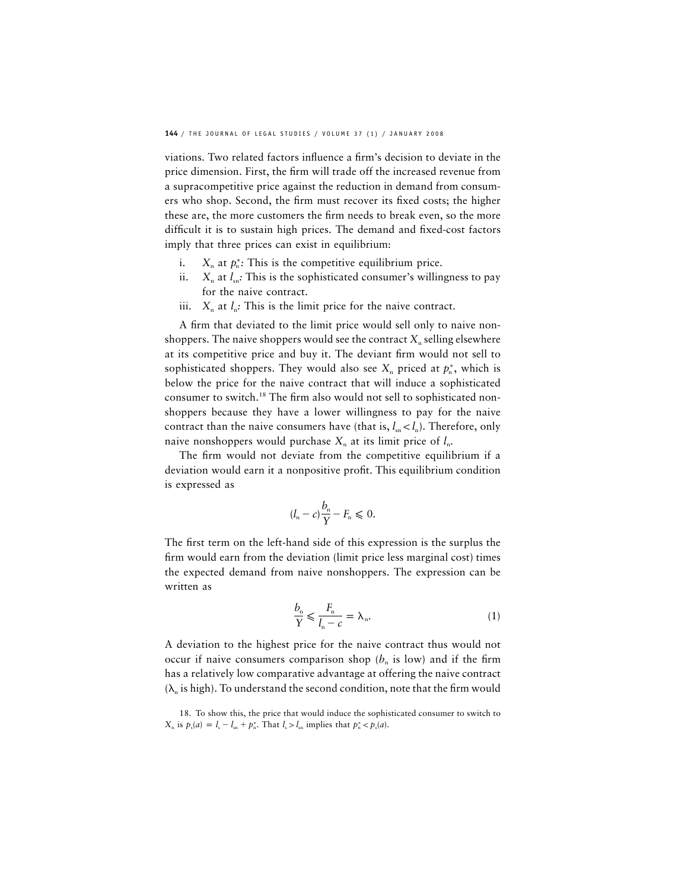viations. Two related factors influence a firm's decision to deviate in the price dimension. First, the firm will trade off the increased revenue from a supracompetitive price against the reduction in demand from consumers who shop. Second, the firm must recover its fixed costs; the higher these are, the more customers the firm needs to break even, so the more difficult it is to sustain high prices. The demand and fixed-cost factors imply that three prices can exist in equilibrium:

- i.  $X_n$  at  $p_n^*$ : This is the competitive equilibrium price.
- ii.  $X_n$  at  $l_{sn}$ : This is the sophisticated consumer's willingness to pay for the naive contract.
- iii.  $X_n$  at  $l_n$ : This is the limit price for the naive contract.

A firm that deviated to the limit price would sell only to naive nonshoppers. The naive shoppers would see the contract  $X<sub>n</sub>$  selling elsewhere at its competitive price and buy it. The deviant firm would not sell to sophisticated shoppers. They would also see  $X_n$  priced at  $p_n^*$ , which is below the price for the naive contract that will induce a sophisticated consumer to switch.18 The firm also would not sell to sophisticated nonshoppers because they have a lower willingness to pay for the naive contract than the naive consumers have (that is,  $l_{\rm sn} < l_{\rm n}$ ). Therefore, only naive nonshoppers would purchase  $X_n$  at its limit price of  $I_n$ .

The firm would not deviate from the competitive equilibrium if a deviation would earn it a nonpositive profit. This equilibrium condition is expressed as

$$
(l_n - c)\frac{b_n}{Y} - F_n \leqslant 0.
$$

The first term on the left-hand side of this expression is the surplus the firm would earn from the deviation (limit price less marginal cost) times the expected demand from naive nonshoppers. The expression can be written as

$$
\frac{b_n}{Y} \leqslant \frac{F_n}{I_n - c} = \lambda_n. \tag{1}
$$

A deviation to the highest price for the naive contract thus would not occur if naive consumers comparison shop  $(b_n)$  is low) and if the firm has a relatively low comparative advantage at offering the naive contract  $(\lambda_n)$  is high). To understand the second condition, note that the firm would

<sup>18.</sup> To show this, the price that would induce the sophisticated consumer to switch to  $X_n$  is  $p_s(a) = l_s - l_{sn} + p_n^*$ . That  $l_s > l_{sn}$  implies that  $p_n^* < p_s(a)$ .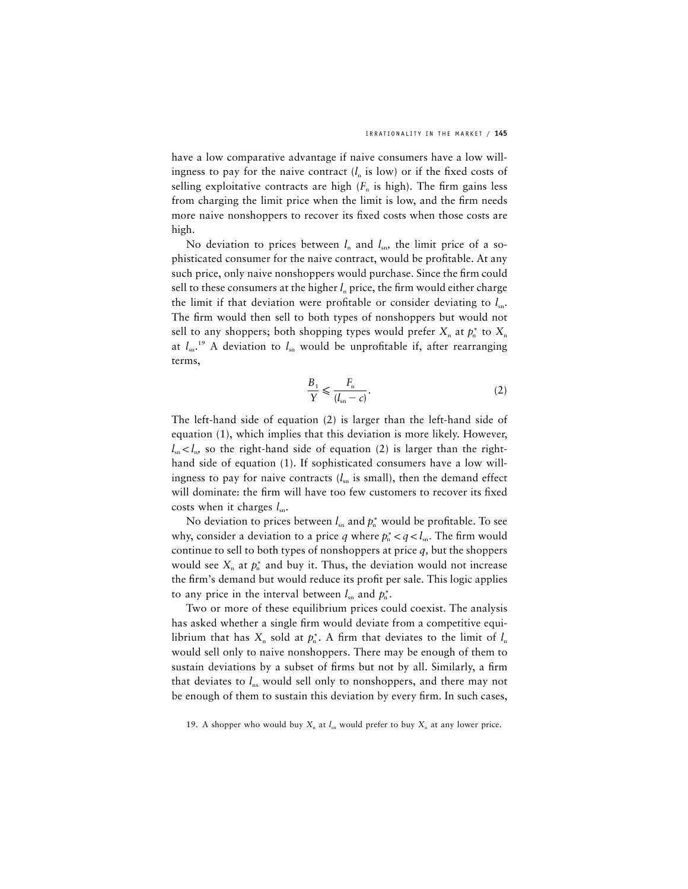have a low comparative advantage if naive consumers have a low willingness to pay for the naive contract  $(l_n$  is low) or if the fixed costs of selling exploitative contracts are high  $(F_n$  is high). The firm gains less from charging the limit price when the limit is low, and the firm needs more naive nonshoppers to recover its fixed costs when those costs are high.

No deviation to prices between  $l_n$  and  $l_{sn}$ , the limit price of a sophisticated consumer for the naive contract, would be profitable. At any such price, only naive nonshoppers would purchase. Since the firm could sell to these consumers at the higher  $l_n$  price, the firm would either charge the limit if that deviation were profitable or consider deviating to  $l_{sn}$ . The firm would then sell to both types of nonshoppers but would not sell to any shoppers; both shopping types would prefer  $X_\text{\tiny n}$  at  $p_\text{\tiny n}^*$  to  $X_\text{\tiny n}$ at  $l_{sn}$ .<sup>19</sup> A deviation to  $l_{sn}$  would be unprofitable if, after rearranging terms,

$$
\frac{B_1}{Y} \leqslant \frac{F_n}{(l_{\rm sn} - c)}.\tag{2}
$$

The left-hand side of equation (2) is larger than the left-hand side of equation (1), which implies that this deviation is more likely. However,  $l_{\rm sn} < l_{\rm n}$ , so the right-hand side of equation (2) is larger than the righthand side of equation (1). If sophisticated consumers have a low willingness to pay for naive contracts  $(l_{\rm sn}$  is small), then the demand effect will dominate: the firm will have too few customers to recover its fixed costs when it charges  $l_{\rm sn}$ .

No deviation to prices between  $l_{sn}$  and  $p_n^*$  would be profitable. To see why, consider a deviation to a price *q* where  $p_n^* < q < l_{sn}$ . The firm would continue to sell to both types of nonshoppers at price *q,* but the shoppers would see  $X_n$  at  $p_n^*$  and buy it. Thus, the deviation would not increase the firm's demand but would reduce its profit per sale. This logic applies to any price in the interval between  $l_{sn}$  and  $p_n^*$ .

Two or more of these equilibrium prices could coexist. The analysis has asked whether a single firm would deviate from a competitive equilibrium that has  $X_n$  sold at  $p_n^*$ . A firm that deviates to the limit of  $l_n$ would sell only to naive nonshoppers. There may be enough of them to sustain deviations by a subset of firms but not by all. Similarly, a firm that deviates to  $l_{ns}$  would sell only to nonshoppers, and there may not be enough of them to sustain this deviation by every firm. In such cases,

<sup>19.</sup> A shopper who would buy  $X_n$  at  $I_m$  would prefer to buy  $X_n$  at any lower price.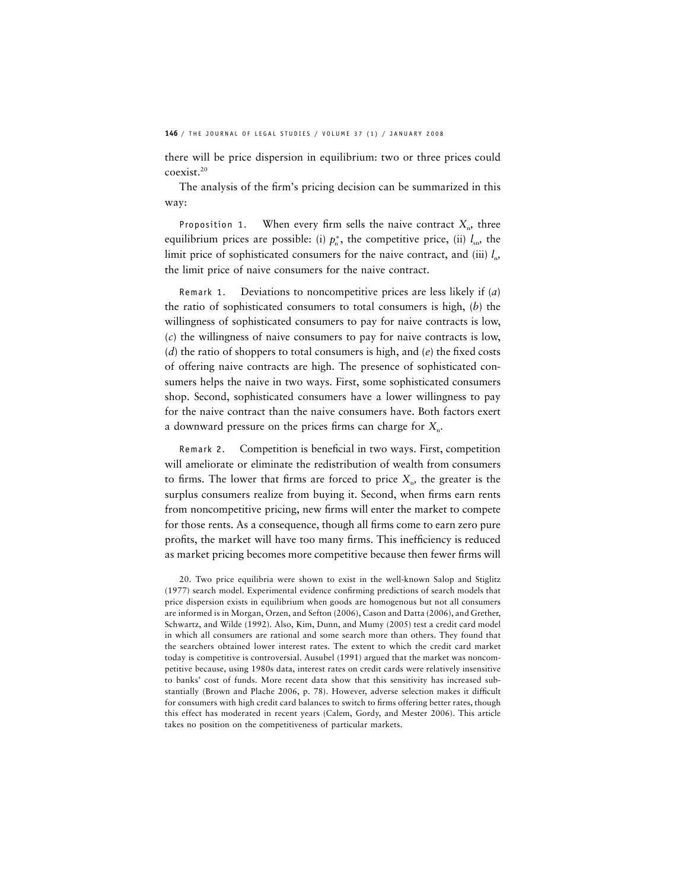there will be price dispersion in equilibrium: two or three prices could coexist.20

The analysis of the firm's pricing decision can be summarized in this way:

Proposition 1. When every firm sells the naive contract  $X_n$ , three equilibrium prices are possible: (i)  $p_n^*$ , the competitive price, (ii)  $l_{sn}$ , the limit price of sophisticated consumers for the naive contract, and (iii)  $l_n$ , the limit price of naive consumers for the naive contract.

Remark 1. Deviations to noncompetitive prices are less likely if (*a*) the ratio of sophisticated consumers to total consumers is high, (*b*) the willingness of sophisticated consumers to pay for naive contracts is low, (*c*) the willingness of naive consumers to pay for naive contracts is low, (*d*) the ratio of shoppers to total consumers is high, and (*e*) the fixed costs of offering naive contracts are high. The presence of sophisticated consumers helps the naive in two ways. First, some sophisticated consumers shop. Second, sophisticated consumers have a lower willingness to pay for the naive contract than the naive consumers have. Both factors exert a downward pressure on the prices firms can charge for *X*n.

Remark 2. Competition is beneficial in two ways. First, competition will ameliorate or eliminate the redistribution of wealth from consumers to firms. The lower that firms are forced to price  $X_n$ , the greater is the surplus consumers realize from buying it. Second, when firms earn rents from noncompetitive pricing, new firms will enter the market to compete for those rents. As a consequence, though all firms come to earn zero pure profits, the market will have too many firms. This inefficiency is reduced as market pricing becomes more competitive because then fewer firms will

<sup>20.</sup> Two price equilibria were shown to exist in the well-known Salop and Stiglitz (1977) search model. Experimental evidence confirming predictions of search models that price dispersion exists in equilibrium when goods are homogenous but not all consumers are informed is in Morgan, Orzen, and Sefton (2006), Cason and Datta (2006), and Grether, Schwartz, and Wilde (1992). Also, Kim, Dunn, and Mumy (2005) test a credit card model in which all consumers are rational and some search more than others. They found that the searchers obtained lower interest rates. The extent to which the credit card market today is competitive is controversial. Ausubel (1991) argued that the market was noncompetitive because, using 1980s data, interest rates on credit cards were relatively insensitive to banks' cost of funds. More recent data show that this sensitivity has increased substantially (Brown and Plache 2006, p. 78). However, adverse selection makes it difficult for consumers with high credit card balances to switch to firms offering better rates, though this effect has moderated in recent years (Calem, Gordy, and Mester 2006). This article takes no position on the competitiveness of particular markets.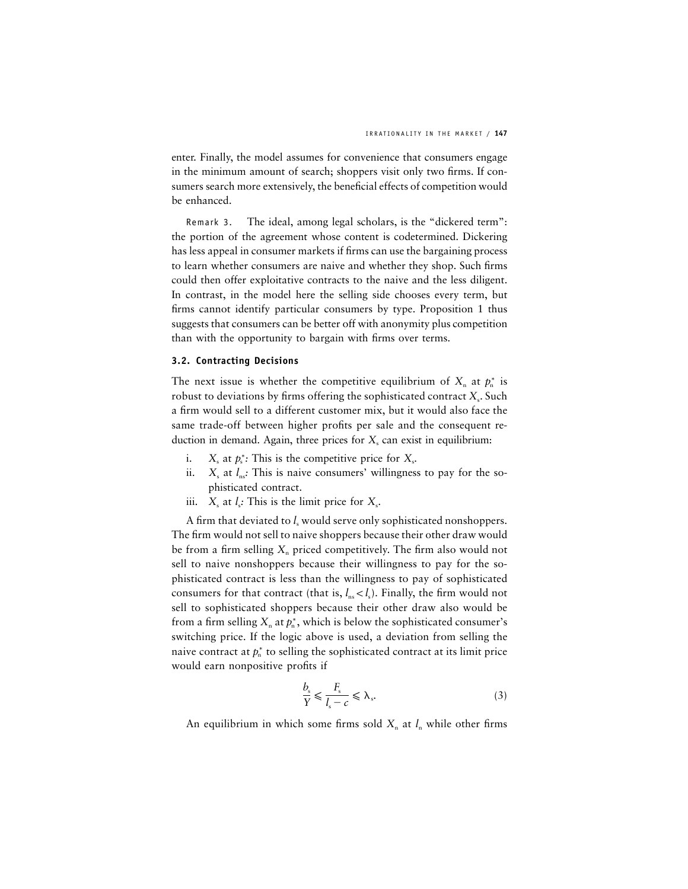enter. Finally, the model assumes for convenience that consumers engage in the minimum amount of search; shoppers visit only two firms. If consumers search more extensively, the beneficial effects of competition would be enhanced.

Remark 3. The ideal, among legal scholars, is the "dickered term": the portion of the agreement whose content is codetermined. Dickering has less appeal in consumer markets if firms can use the bargaining process to learn whether consumers are naive and whether they shop. Such firms could then offer exploitative contracts to the naive and the less diligent. In contrast, in the model here the selling side chooses every term, but firms cannot identify particular consumers by type. Proposition 1 thus suggests that consumers can be better off with anonymity plus competition than with the opportunity to bargain with firms over terms.

#### **3.2. Contracting Decisions**

The next issue is whether the competitive equilibrium of  $X_n$  at  $p_n^*$  is robust to deviations by firms offering the sophisticated contract  $X<sub>s</sub>$ . Such a firm would sell to a different customer mix, but it would also face the same trade-off between higher profits per sale and the consequent reduction in demand. Again, three prices for  $X<sub>s</sub>$  can exist in equilibrium:

- i. *X<sub>s</sub>* at  $p^*$ : This is the competitive price for *X<sub>s</sub>*.
- ii.  $X_s$  at  $l_{ns}$ : This is naive consumers' willingness to pay for the sophisticated contract.
- iii.  $X_s$  at  $l_s$ : This is the limit price for  $X_s$ .

A firm that deviated to *l*, would serve only sophisticated nonshoppers. The firm would not sell to naive shoppers because their other draw would be from a firm selling  $X_n$  priced competitively. The firm also would not sell to naive nonshoppers because their willingness to pay for the sophisticated contract is less than the willingness to pay of sophisticated consumers for that contract (that is,  $l_{ns} < l_s$ ). Finally, the firm would not sell to sophisticated shoppers because their other draw also would be from a firm selling  $X_n$  at  $p_n^*$ , which is below the sophisticated consumer's switching price. If the logic above is used, a deviation from selling the naive contract at  $p_n^*$  to selling the sophisticated contract at its limit price would earn nonpositive profits if

$$
\frac{b_s}{Y} \leqslant \frac{F_s}{I_s - c} \leqslant \lambda_s. \tag{3}
$$

An equilibrium in which some firms sold  $X_n$  at  $l_n$  while other firms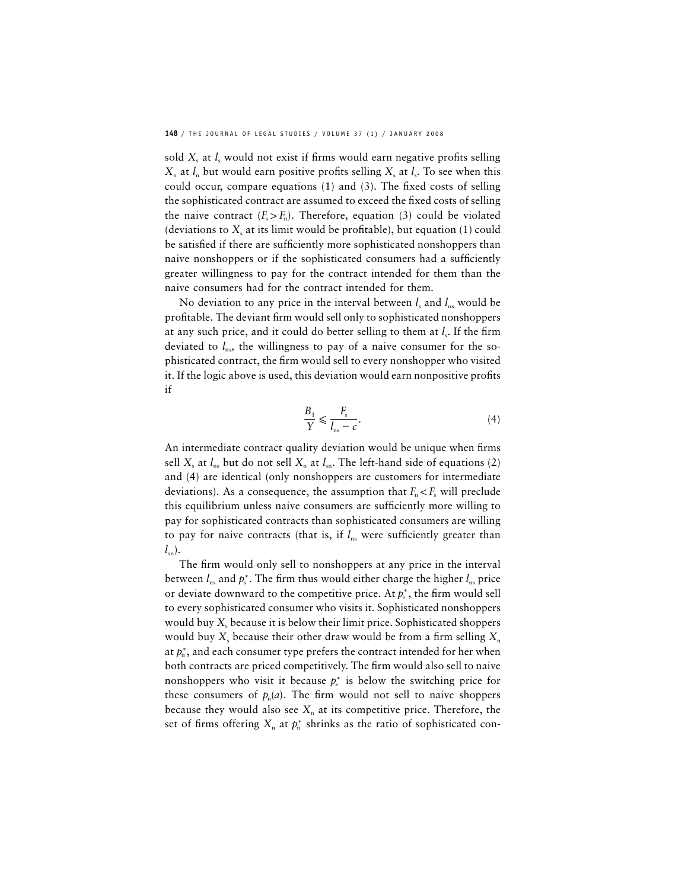sold  $X_s$  at  $l_s$  would not exist if firms would earn negative profits selling  $X_n$  at  $l_n$  but would earn positive profits selling  $X_s$  at  $l_s$ . To see when this could occur, compare equations (1) and (3). The fixed costs of selling the sophisticated contract are assumed to exceed the fixed costs of selling the naive contract  $(F_s > F_n)$ . Therefore, equation (3) could be violated (deviations to  $X<sub>s</sub>$  at its limit would be profitable), but equation (1) could be satisfied if there are sufficiently more sophisticated nonshoppers than naive nonshoppers or if the sophisticated consumers had a sufficiently greater willingness to pay for the contract intended for them than the naive consumers had for the contract intended for them.

No deviation to any price in the interval between  $l_s$  and  $l_{ns}$  would be profitable. The deviant firm would sell only to sophisticated nonshoppers at any such price, and it could do better selling to them at  $l_s$ . If the firm deviated to  $l_{ns}$ , the willingness to pay of a naive consumer for the sophisticated contract, the firm would sell to every nonshopper who visited it. If the logic above is used, this deviation would earn nonpositive profits if

$$
\frac{B_1}{Y} \leqslant \frac{F_s}{l_{\rm ns} - c}.\tag{4}
$$

An intermediate contract quality deviation would be unique when firms sell  $X_s$  at  $l_{ns}$  but do not sell  $X_n$  at  $l_{sn}$ . The left-hand side of equations (2) and (4) are identical (only nonshoppers are customers for intermediate deviations). As a consequence, the assumption that  $F_n < F_s$  will preclude this equilibrium unless naive consumers are sufficiently more willing to pay for sophisticated contracts than sophisticated consumers are willing to pay for naive contracts (that is, if  $l_{ns}$  were sufficiently greater than  $l_{\rm sn}$ ).

The firm would only sell to nonshoppers at any price in the interval between  $l_{ns}$  and  $p_s^*$ . The firm thus would either charge the higher  $l_{ns}$  price or deviate downward to the competitive price. At  $p_s^*$ , the firm would sell to every sophisticated consumer who visits it. Sophisticated nonshoppers would buy  $X_s$  because it is below their limit price. Sophisticated shoppers would buy  $X_s$  because their other draw would be from a firm selling  $X_n$ at  $p_n^*$ , and each consumer type prefers the contract intended for her when both contracts are priced competitively. The firm would also sell to naive nonshoppers who visit it because  $p^*$  *is* below the switching price for these consumers of  $p_n(a)$ . The firm would not sell to naive shoppers because they would also see  $X_n$  at its competitive price. Therefore, the set of firms offering  $X_n$  at  $p_n^*$  shrinks as the ratio of sophisticated con-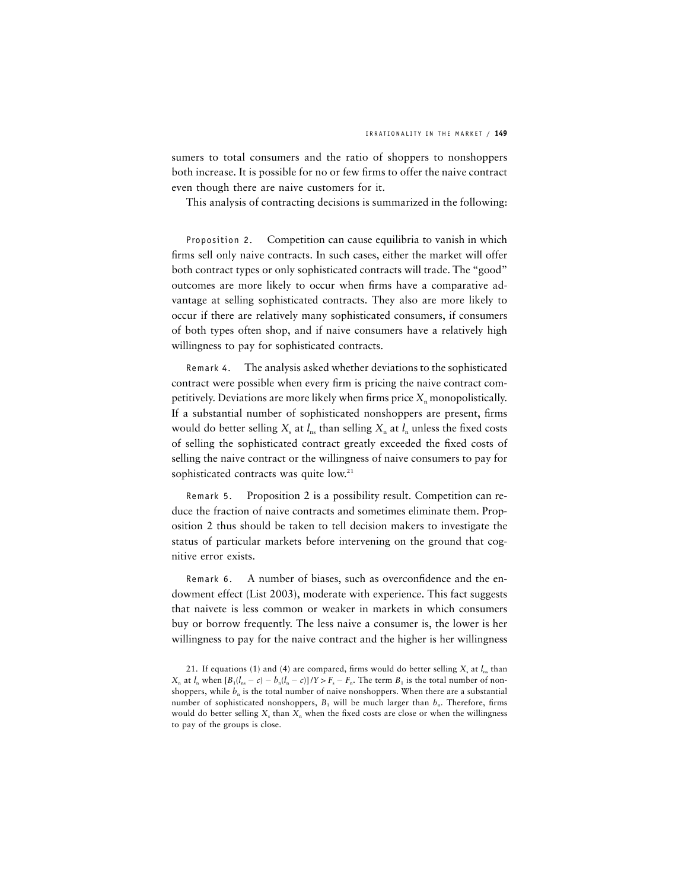sumers to total consumers and the ratio of shoppers to nonshoppers both increase. It is possible for no or few firms to offer the naive contract even though there are naive customers for it.

This analysis of contracting decisions is summarized in the following:

Proposition 2. Competition can cause equilibria to vanish in which firms sell only naive contracts. In such cases, either the market will offer both contract types or only sophisticated contracts will trade. The "good" outcomes are more likely to occur when firms have a comparative advantage at selling sophisticated contracts. They also are more likely to occur if there are relatively many sophisticated consumers, if consumers of both types often shop, and if naive consumers have a relatively high willingness to pay for sophisticated contracts.

Remark 4. The analysis asked whether deviations to the sophisticated contract were possible when every firm is pricing the naive contract competitively. Deviations are more likely when firms price  $X_n$  monopolistically. If a substantial number of sophisticated nonshoppers are present, firms would do better selling  $X_s$  at  $l_{ns}$  than selling  $X_n$  at  $l_n$  unless the fixed costs of selling the sophisticated contract greatly exceeded the fixed costs of selling the naive contract or the willingness of naive consumers to pay for sophisticated contracts was quite low.<sup>21</sup>

Remark 5. Proposition 2 is a possibility result. Competition can reduce the fraction of naive contracts and sometimes eliminate them. Proposition 2 thus should be taken to tell decision makers to investigate the status of particular markets before intervening on the ground that cognitive error exists.

Remark 6. A number of biases, such as overconfidence and the endowment effect (List 2003), moderate with experience. This fact suggests that naivete is less common or weaker in markets in which consumers buy or borrow frequently. The less naive a consumer is, the lower is her willingness to pay for the naive contract and the higher is her willingness

<sup>21.</sup> If equations (1) and (4) are compared, firms would do better selling  $X_s$  at  $l_{ns}$  than  $X_n$  at  $l_n$  when  $[B_1(l_{ns} - c) - b_n(l_n - c)]/Y > F_s - F_n$ . The term  $B_1$  is the total number of nonshoppers, while  $b_n$  is the total number of naive nonshoppers. When there are a substantial number of sophisticated nonshoppers,  $B_1$  will be much larger than  $b_n$ . Therefore, firms would do better selling  $X_s$  than  $X_n$  when the fixed costs are close or when the willingness to pay of the groups is close.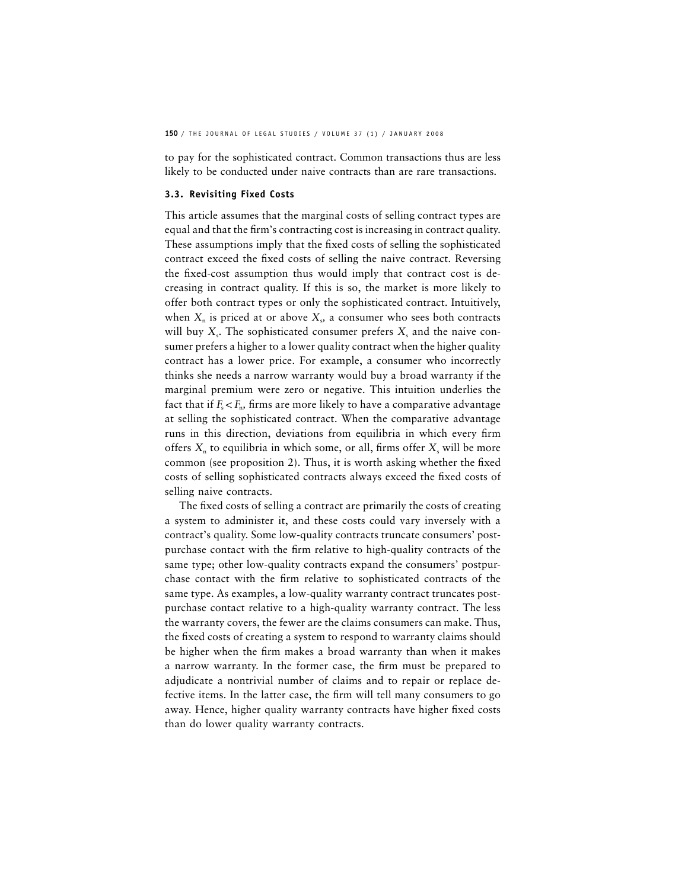to pay for the sophisticated contract. Common transactions thus are less likely to be conducted under naive contracts than are rare transactions.

#### **3.3. Revisiting Fixed Costs**

This article assumes that the marginal costs of selling contract types are equal and that the firm's contracting cost is increasing in contract quality. These assumptions imply that the fixed costs of selling the sophisticated contract exceed the fixed costs of selling the naive contract. Reversing the fixed-cost assumption thus would imply that contract cost is decreasing in contract quality. If this is so, the market is more likely to offer both contract types or only the sophisticated contract. Intuitively, when  $X_n$  is priced at or above  $X_s$ , a consumer who sees both contracts will buy  $X_s$ . The sophisticated consumer prefers  $X_s$  and the naive consumer prefers a higher to a lower quality contract when the higher quality contract has a lower price. For example, a consumer who incorrectly thinks she needs a narrow warranty would buy a broad warranty if the marginal premium were zero or negative. This intuition underlies the fact that if  $F_s < F_p$ , firms are more likely to have a comparative advantage at selling the sophisticated contract. When the comparative advantage runs in this direction, deviations from equilibria in which every firm offers  $X_n$  to equilibria in which some, or all, firms offer  $X_n$  will be more common (see proposition 2). Thus, it is worth asking whether the fixed costs of selling sophisticated contracts always exceed the fixed costs of selling naive contracts.

The fixed costs of selling a contract are primarily the costs of creating a system to administer it, and these costs could vary inversely with a contract's quality. Some low-quality contracts truncate consumers' postpurchase contact with the firm relative to high-quality contracts of the same type; other low-quality contracts expand the consumers' postpurchase contact with the firm relative to sophisticated contracts of the same type. As examples, a low-quality warranty contract truncates postpurchase contact relative to a high-quality warranty contract. The less the warranty covers, the fewer are the claims consumers can make. Thus, the fixed costs of creating a system to respond to warranty claims should be higher when the firm makes a broad warranty than when it makes a narrow warranty. In the former case, the firm must be prepared to adjudicate a nontrivial number of claims and to repair or replace defective items. In the latter case, the firm will tell many consumers to go away. Hence, higher quality warranty contracts have higher fixed costs than do lower quality warranty contracts.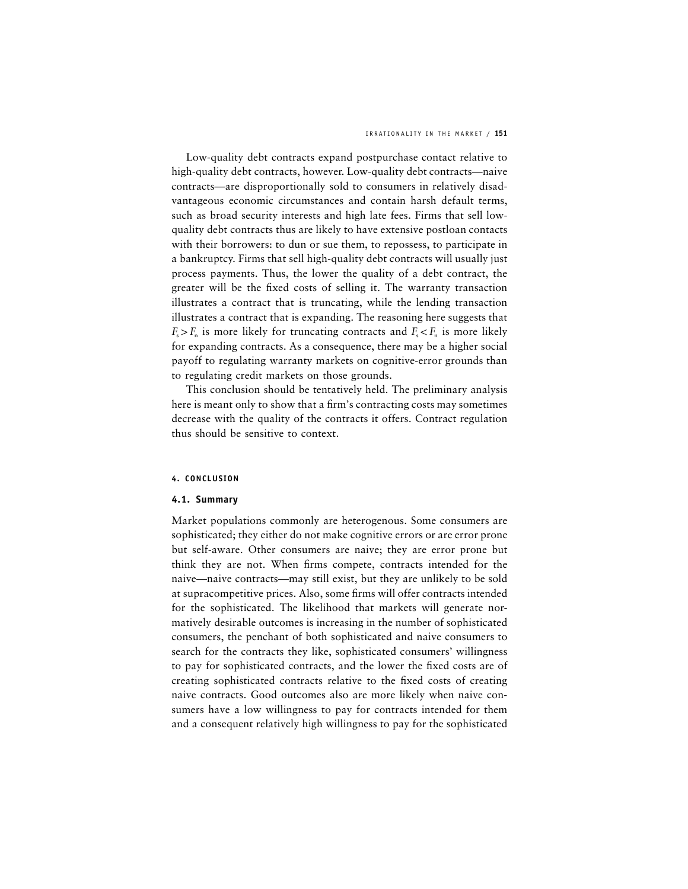Low-quality debt contracts expand postpurchase contact relative to high-quality debt contracts, however. Low-quality debt contracts—naive contracts—are disproportionally sold to consumers in relatively disadvantageous economic circumstances and contain harsh default terms, such as broad security interests and high late fees. Firms that sell lowquality debt contracts thus are likely to have extensive postloan contacts with their borrowers: to dun or sue them, to repossess, to participate in a bankruptcy. Firms that sell high-quality debt contracts will usually just process payments. Thus, the lower the quality of a debt contract, the greater will be the fixed costs of selling it. The warranty transaction illustrates a contract that is truncating, while the lending transaction illustrates a contract that is expanding. The reasoning here suggests that  $F_s > F_n$  is more likely for truncating contracts and  $F_s < F_n$  is more likely for expanding contracts. As a consequence, there may be a higher social payoff to regulating warranty markets on cognitive-error grounds than to regulating credit markets on those grounds.

This conclusion should be tentatively held. The preliminary analysis here is meant only to show that a firm's contracting costs may sometimes decrease with the quality of the contracts it offers. Contract regulation thus should be sensitive to context.

# **4. CONCLUSION**

# **4.1. Summary**

Market populations commonly are heterogenous. Some consumers are sophisticated; they either do not make cognitive errors or are error prone but self-aware. Other consumers are naive; they are error prone but think they are not. When firms compete, contracts intended for the naive—naive contracts—may still exist, but they are unlikely to be sold at supracompetitive prices. Also, some firms will offer contracts intended for the sophisticated. The likelihood that markets will generate normatively desirable outcomes is increasing in the number of sophisticated consumers, the penchant of both sophisticated and naive consumers to search for the contracts they like, sophisticated consumers' willingness to pay for sophisticated contracts, and the lower the fixed costs are of creating sophisticated contracts relative to the fixed costs of creating naive contracts. Good outcomes also are more likely when naive consumers have a low willingness to pay for contracts intended for them and a consequent relatively high willingness to pay for the sophisticated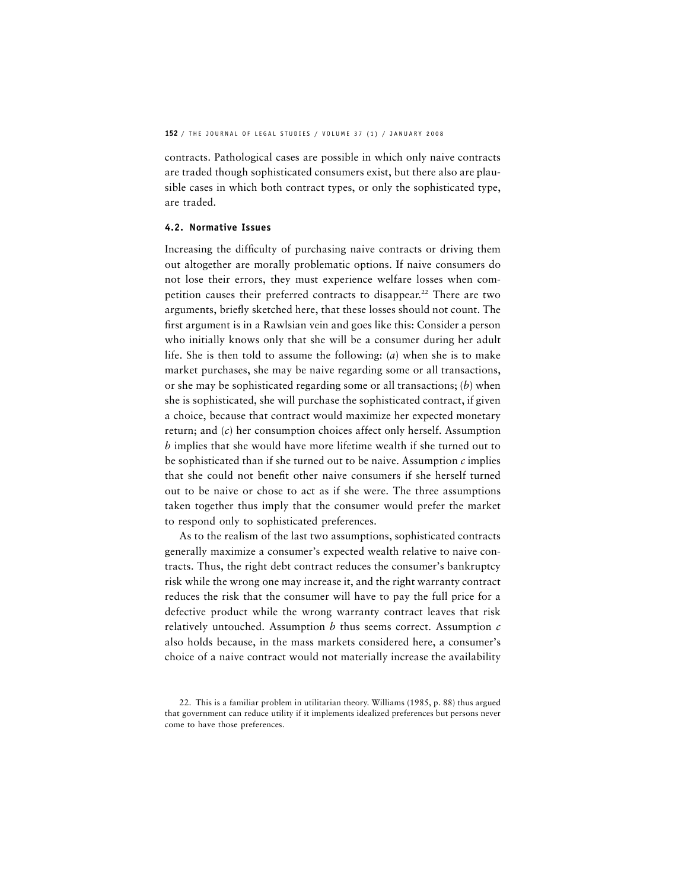contracts. Pathological cases are possible in which only naive contracts are traded though sophisticated consumers exist, but there also are plausible cases in which both contract types, or only the sophisticated type, are traded.

# **4.2. Normative Issues**

Increasing the difficulty of purchasing naive contracts or driving them out altogether are morally problematic options. If naive consumers do not lose their errors, they must experience welfare losses when competition causes their preferred contracts to disappear.<sup>22</sup> There are two arguments, briefly sketched here, that these losses should not count. The first argument is in a Rawlsian vein and goes like this: Consider a person who initially knows only that she will be a consumer during her adult life. She is then told to assume the following: (*a*) when she is to make market purchases, she may be naive regarding some or all transactions, or she may be sophisticated regarding some or all transactions; (*b*) when she is sophisticated, she will purchase the sophisticated contract, if given a choice, because that contract would maximize her expected monetary return; and (*c*) her consumption choices affect only herself. Assumption *b* implies that she would have more lifetime wealth if she turned out to be sophisticated than if she turned out to be naive. Assumption *c* implies that she could not benefit other naive consumers if she herself turned out to be naive or chose to act as if she were. The three assumptions taken together thus imply that the consumer would prefer the market to respond only to sophisticated preferences.

As to the realism of the last two assumptions, sophisticated contracts generally maximize a consumer's expected wealth relative to naive contracts. Thus, the right debt contract reduces the consumer's bankruptcy risk while the wrong one may increase it, and the right warranty contract reduces the risk that the consumer will have to pay the full price for a defective product while the wrong warranty contract leaves that risk relatively untouched. Assumption *b* thus seems correct. Assumption *c* also holds because, in the mass markets considered here, a consumer's choice of a naive contract would not materially increase the availability

<sup>22.</sup> This is a familiar problem in utilitarian theory. Williams (1985, p. 88) thus argued that government can reduce utility if it implements idealized preferences but persons never come to have those preferences.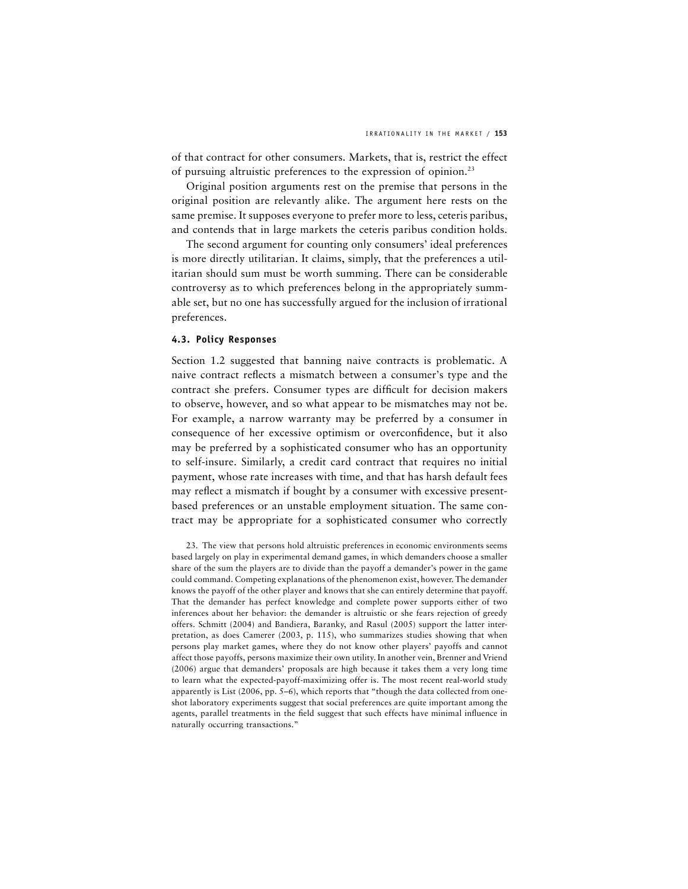of that contract for other consumers. Markets, that is, restrict the effect of pursuing altruistic preferences to the expression of opinion.23

Original position arguments rest on the premise that persons in the original position are relevantly alike. The argument here rests on the same premise. It supposes everyone to prefer more to less, ceteris paribus, and contends that in large markets the ceteris paribus condition holds.

The second argument for counting only consumers' ideal preferences is more directly utilitarian. It claims, simply, that the preferences a utilitarian should sum must be worth summing. There can be considerable controversy as to which preferences belong in the appropriately summable set, but no one has successfully argued for the inclusion of irrational preferences.

# **4.3. Policy Responses**

Section 1.2 suggested that banning naive contracts is problematic. A naive contract reflects a mismatch between a consumer's type and the contract she prefers. Consumer types are difficult for decision makers to observe, however, and so what appear to be mismatches may not be. For example, a narrow warranty may be preferred by a consumer in consequence of her excessive optimism or overconfidence, but it also may be preferred by a sophisticated consumer who has an opportunity to self-insure. Similarly, a credit card contract that requires no initial payment, whose rate increases with time, and that has harsh default fees may reflect a mismatch if bought by a consumer with excessive presentbased preferences or an unstable employment situation. The same contract may be appropriate for a sophisticated consumer who correctly

<sup>23.</sup> The view that persons hold altruistic preferences in economic environments seems based largely on play in experimental demand games, in which demanders choose a smaller share of the sum the players are to divide than the payoff a demander's power in the game could command. Competing explanations of the phenomenon exist, however. The demander knows the payoff of the other player and knows that she can entirely determine that payoff. That the demander has perfect knowledge and complete power supports either of two inferences about her behavior: the demander is altruistic or she fears rejection of greedy offers. Schmitt (2004) and Bandiera, Baranky, and Rasul (2005) support the latter interpretation, as does Camerer (2003, p. 115), who summarizes studies showing that when persons play market games, where they do not know other players' payoffs and cannot affect those payoffs, persons maximize their own utility. In another vein, Brenner and Vriend (2006) argue that demanders' proposals are high because it takes them a very long time to learn what the expected-payoff-maximizing offer is. The most recent real-world study apparently is List (2006, pp. 5–6), which reports that "though the data collected from oneshot laboratory experiments suggest that social preferences are quite important among the agents, parallel treatments in the field suggest that such effects have minimal influence in naturally occurring transactions."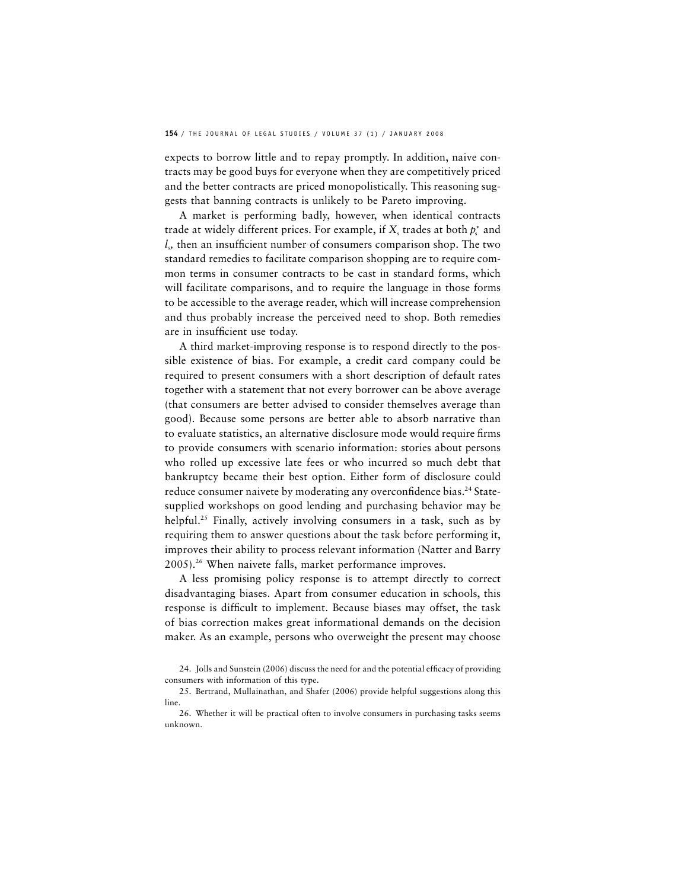expects to borrow little and to repay promptly. In addition, naive contracts may be good buys for everyone when they are competitively priced and the better contracts are priced monopolistically. This reasoning suggests that banning contracts is unlikely to be Pareto improving.

A market is performing badly, however, when identical contracts trade at widely different prices. For example, if  $X<sub>s</sub>$  trades at both  $p<sub>s</sub><sup>*</sup>$  and *l<sub>s</sub>*, then an insufficient number of consumers comparison shop. The two standard remedies to facilitate comparison shopping are to require common terms in consumer contracts to be cast in standard forms, which will facilitate comparisons, and to require the language in those forms to be accessible to the average reader, which will increase comprehension and thus probably increase the perceived need to shop. Both remedies are in insufficient use today.

A third market-improving response is to respond directly to the possible existence of bias. For example, a credit card company could be required to present consumers with a short description of default rates together with a statement that not every borrower can be above average (that consumers are better advised to consider themselves average than good). Because some persons are better able to absorb narrative than to evaluate statistics, an alternative disclosure mode would require firms to provide consumers with scenario information: stories about persons who rolled up excessive late fees or who incurred so much debt that bankruptcy became their best option. Either form of disclosure could reduce consumer naivete by moderating any overconfidence bias.<sup>24</sup> Statesupplied workshops on good lending and purchasing behavior may be helpful.<sup>25</sup> Finally, actively involving consumers in a task, such as by requiring them to answer questions about the task before performing it, improves their ability to process relevant information (Natter and Barry 2005).26 When naivete falls, market performance improves.

A less promising policy response is to attempt directly to correct disadvantaging biases. Apart from consumer education in schools, this response is difficult to implement. Because biases may offset, the task of bias correction makes great informational demands on the decision maker. As an example, persons who overweight the present may choose

<sup>24.</sup> Jolls and Sunstein (2006) discuss the need for and the potential efficacy of providing consumers with information of this type.

<sup>25.</sup> Bertrand, Mullainathan, and Shafer (2006) provide helpful suggestions along this line.

<sup>26.</sup> Whether it will be practical often to involve consumers in purchasing tasks seems unknown.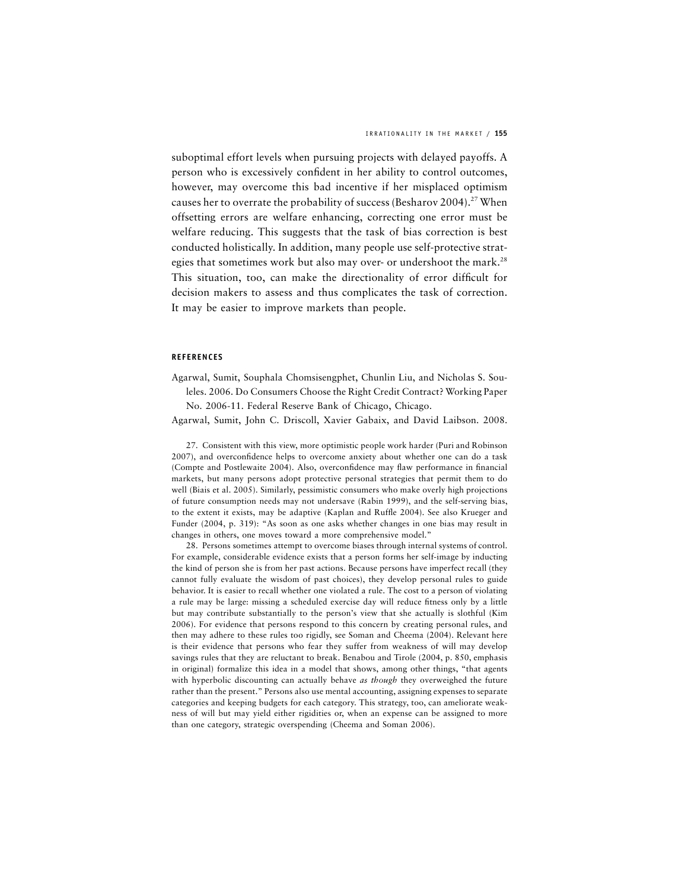suboptimal effort levels when pursuing projects with delayed payoffs. A person who is excessively confident in her ability to control outcomes, however, may overcome this bad incentive if her misplaced optimism causes her to overrate the probability of success (Besharov 2004).<sup>27</sup> When offsetting errors are welfare enhancing, correcting one error must be welfare reducing. This suggests that the task of bias correction is best conducted holistically. In addition, many people use self-protective strategies that sometimes work but also may over- or undershoot the mark.<sup>28</sup> This situation, too, can make the directionality of error difficult for decision makers to assess and thus complicates the task of correction. It may be easier to improve markets than people.

### **REFERENCES**

Agarwal, Sumit, Souphala Chomsisengphet, Chunlin Liu, and Nicholas S. Souleles. 2006. Do Consumers Choose the Right Credit Contract? Working Paper No. 2006-11. Federal Reserve Bank of Chicago, Chicago.

Agarwal, Sumit, John C. Driscoll, Xavier Gabaix, and David Laibson. 2008.

27. Consistent with this view, more optimistic people work harder (Puri and Robinson 2007), and overconfidence helps to overcome anxiety about whether one can do a task (Compte and Postlewaite 2004). Also, overconfidence may flaw performance in financial markets, but many persons adopt protective personal strategies that permit them to do well (Biais et al. 2005). Similarly, pessimistic consumers who make overly high projections of future consumption needs may not undersave (Rabin 1999), and the self-serving bias, to the extent it exists, may be adaptive (Kaplan and Ruffle 2004). See also Krueger and Funder (2004, p. 319): "As soon as one asks whether changes in one bias may result in changes in others, one moves toward a more comprehensive model."

28. Persons sometimes attempt to overcome biases through internal systems of control. For example, considerable evidence exists that a person forms her self-image by inducting the kind of person she is from her past actions. Because persons have imperfect recall (they cannot fully evaluate the wisdom of past choices), they develop personal rules to guide behavior. It is easier to recall whether one violated a rule. The cost to a person of violating a rule may be large: missing a scheduled exercise day will reduce fitness only by a little but may contribute substantially to the person's view that she actually is slothful (Kim 2006). For evidence that persons respond to this concern by creating personal rules, and then may adhere to these rules too rigidly, see Soman and Cheema (2004). Relevant here is their evidence that persons who fear they suffer from weakness of will may develop savings rules that they are reluctant to break. Benabou and Tirole (2004, p. 850, emphasis in original) formalize this idea in a model that shows, among other things, "that agents with hyperbolic discounting can actually behave *as though* they overweighed the future rather than the present." Persons also use mental accounting, assigning expenses to separate categories and keeping budgets for each category. This strategy, too, can ameliorate weakness of will but may yield either rigidities or, when an expense can be assigned to more than one category, strategic overspending (Cheema and Soman 2006).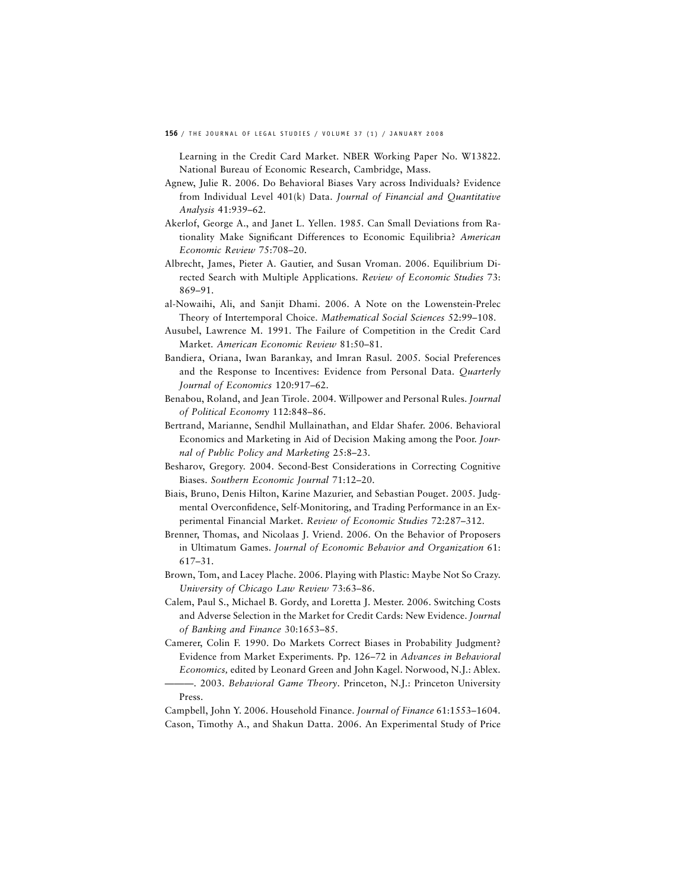Learning in the Credit Card Market. NBER Working Paper No. W13822. National Bureau of Economic Research, Cambridge, Mass.

- Agnew, Julie R. 2006. Do Behavioral Biases Vary across Individuals? Evidence from Individual Level 401(k) Data. *Journal of Financial and Quantitative Analysis* 41:939–62.
- Akerlof, George A., and Janet L. Yellen. 1985. Can Small Deviations from Rationality Make Significant Differences to Economic Equilibria? *American Economic Review* 75:708–20.
- Albrecht, James, Pieter A. Gautier, and Susan Vroman. 2006. Equilibrium Directed Search with Multiple Applications. *Review of Economic Studies* 73: 869–91.
- al-Nowaihi, Ali, and Sanjit Dhami. 2006. A Note on the Lowenstein-Prelec Theory of Intertemporal Choice. *Mathematical Social Sciences* 52:99–108.
- Ausubel, Lawrence M. 1991. The Failure of Competition in the Credit Card Market. *American Economic Review* 81:50–81.
- Bandiera, Oriana, Iwan Barankay, and Imran Rasul. 2005. Social Preferences and the Response to Incentives: Evidence from Personal Data. *Quarterly Journal of Economics* 120:917–62.
- Benabou, Roland, and Jean Tirole. 2004. Willpower and Personal Rules. *Journal of Political Economy* 112:848–86.
- Bertrand, Marianne, Sendhil Mullainathan, and Eldar Shafer. 2006. Behavioral Economics and Marketing in Aid of Decision Making among the Poor. *Journal of Public Policy and Marketing* 25:8–23.
- Besharov, Gregory. 2004. Second-Best Considerations in Correcting Cognitive Biases. *Southern Economic Journal* 71:12–20.
- Biais, Bruno, Denis Hilton, Karine Mazurier, and Sebastian Pouget. 2005. Judgmental Overconfidence, Self-Monitoring, and Trading Performance in an Experimental Financial Market. *Review of Economic Studies* 72:287–312.
- Brenner, Thomas, and Nicolaas J. Vriend. 2006. On the Behavior of Proposers in Ultimatum Games. *Journal of Economic Behavior and Organization* 61: 617–31.
- Brown, Tom, and Lacey Plache. 2006. Playing with Plastic: Maybe Not So Crazy. *University of Chicago Law Review* 73:63–86.
- Calem, Paul S., Michael B. Gordy, and Loretta J. Mester. 2006. Switching Costs and Adverse Selection in the Market for Credit Cards: New Evidence. *Journal of Banking and Finance* 30:1653–85.
- Camerer, Colin F. 1990. Do Markets Correct Biases in Probability Judgment? Evidence from Market Experiments. Pp. 126–72 in *Advances in Behavioral Economics,* edited by Leonard Green and John Kagel. Norwood, N.J.: Ablex. ———. 2003. *Behavioral Game Theory*. Princeton, N.J.: Princeton University
- Press.

Campbell, John Y. 2006. Household Finance. *Journal of Finance* 61:1553–1604. Cason, Timothy A., and Shakun Datta. 2006. An Experimental Study of Price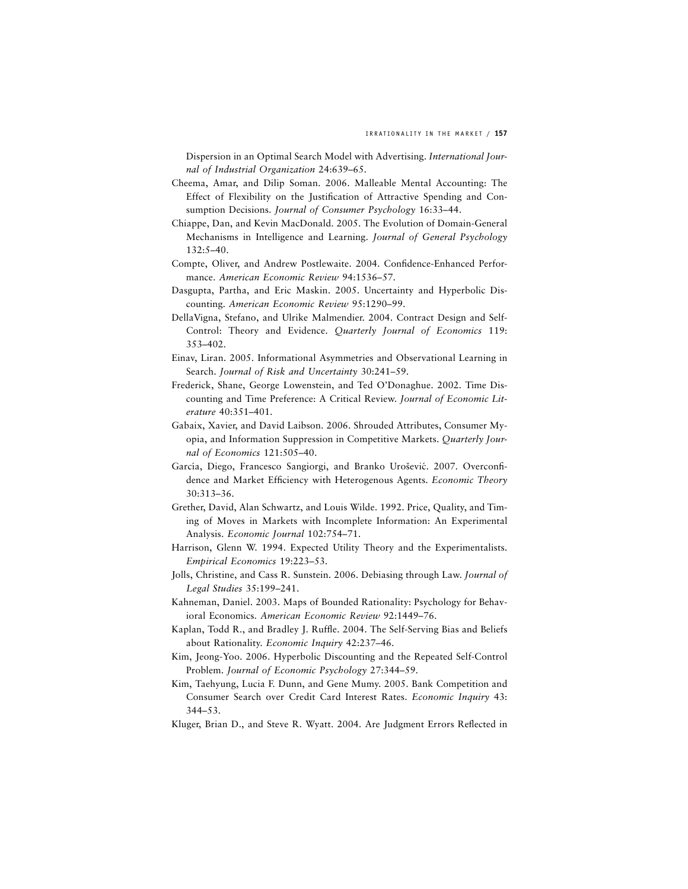Dispersion in an Optimal Search Model with Advertising. *International Journal of Industrial Organization* 24:639–65.

- Cheema, Amar, and Dilip Soman. 2006. Malleable Mental Accounting: The Effect of Flexibility on the Justification of Attractive Spending and Consumption Decisions. *Journal of Consumer Psychology* 16:33–44.
- Chiappe, Dan, and Kevin MacDonald. 2005. The Evolution of Domain-General Mechanisms in Intelligence and Learning. *Journal of General Psychology* 132:5–40.
- Compte, Oliver, and Andrew Postlewaite. 2004. Confidence-Enhanced Performance. *American Economic Review* 94:1536–57.
- Dasgupta, Partha, and Eric Maskin. 2005. Uncertainty and Hyperbolic Discounting. *American Economic Review* 95:1290–99.
- DellaVigna, Stefano, and Ulrike Malmendier. 2004. Contract Design and Self-Control: Theory and Evidence. *Quarterly Journal of Economics* 119: 353–402.
- Einav, Liran. 2005. Informational Asymmetries and Observational Learning in Search. *Journal of Risk and Uncertainty* 30:241–59.
- Frederick, Shane, George Lowenstein, and Ted O'Donaghue. 2002. Time Discounting and Time Preference: A Critical Review. *Journal of Economic Literature* 40:351–401.
- Gabaix, Xavier, and David Laibson. 2006. Shrouded Attributes, Consumer Myopia, and Information Suppression in Competitive Markets. *Quarterly Journal of Economics* 121:505–40.
- García, Diego, Francesco Sangiorgi, and Branko Urošević. 2007. Overconfidence and Market Efficiency with Heterogenous Agents. *Economic Theory* 30:313–36.
- Grether, David, Alan Schwartz, and Louis Wilde. 1992. Price, Quality, and Timing of Moves in Markets with Incomplete Information: An Experimental Analysis. *Economic Journal* 102:754–71.
- Harrison, Glenn W. 1994. Expected Utility Theory and the Experimentalists. *Empirical Economics* 19:223–53.
- Jolls, Christine, and Cass R. Sunstein. 2006. Debiasing through Law. *Journal of Legal Studies* 35:199–241.
- Kahneman, Daniel. 2003. Maps of Bounded Rationality: Psychology for Behavioral Economics. *American Economic Review* 92:1449–76.
- Kaplan, Todd R., and Bradley J. Ruffle. 2004. The Self-Serving Bias and Beliefs about Rationality. *Economic Inquiry* 42:237–46.
- Kim, Jeong-Yoo. 2006. Hyperbolic Discounting and the Repeated Self-Control Problem. *Journal of Economic Psychology* 27:344–59.
- Kim, Taehyung, Lucia F. Dunn, and Gene Mumy. 2005. Bank Competition and Consumer Search over Credit Card Interest Rates. *Economic Inquiry* 43: 344–53.
- Kluger, Brian D., and Steve R. Wyatt. 2004. Are Judgment Errors Reflected in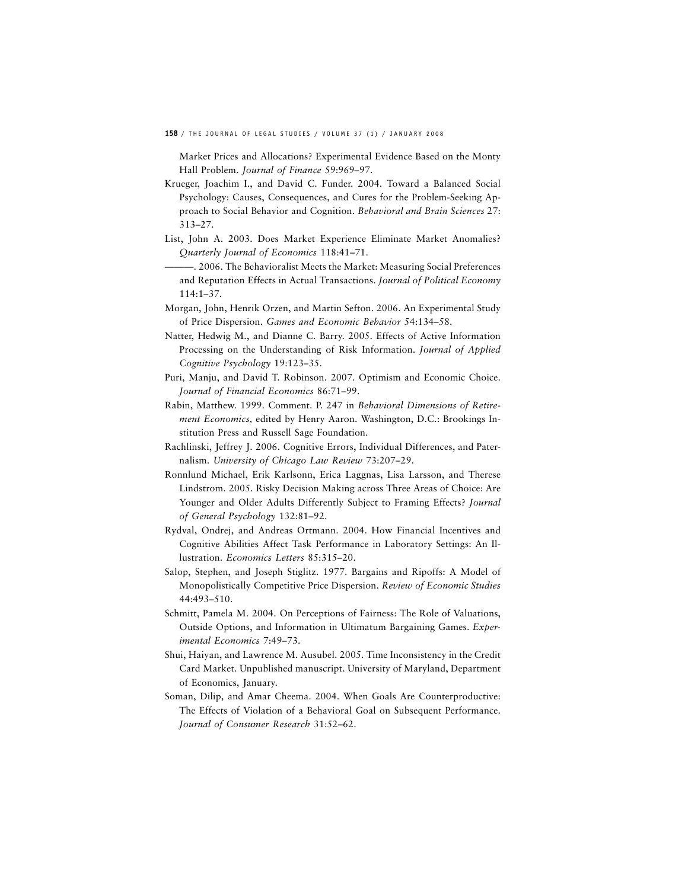Market Prices and Allocations? Experimental Evidence Based on the Monty Hall Problem. *Journal of Finance* 59:969–97.

Krueger, Joachim I., and David C. Funder. 2004. Toward a Balanced Social Psychology: Causes, Consequences, and Cures for the Problem-Seeking Approach to Social Behavior and Cognition. *Behavioral and Brain Sciences* 27: 313–27.

- List, John A. 2003. Does Market Experience Eliminate Market Anomalies? *Quarterly Journal of Economics* 118:41–71.
- -. 2006. The Behavioralist Meets the Market: Measuring Social Preferences and Reputation Effects in Actual Transactions. *Journal of Political Economy* 114:1–37.
- Morgan, John, Henrik Orzen, and Martin Sefton. 2006. An Experimental Study of Price Dispersion. *Games and Economic Behavior* 54:134–58.
- Natter, Hedwig M., and Dianne C. Barry. 2005. Effects of Active Information Processing on the Understanding of Risk Information. *Journal of Applied Cognitive Psychology* 19:123–35.
- Puri, Manju, and David T. Robinson. 2007. Optimism and Economic Choice. *Journal of Financial Economics* 86:71–99.
- Rabin, Matthew. 1999. Comment. P. 247 in *Behavioral Dimensions of Retirement Economics,* edited by Henry Aaron. Washington, D.C.: Brookings Institution Press and Russell Sage Foundation.
- Rachlinski, Jeffrey J. 2006. Cognitive Errors, Individual Differences, and Paternalism. *University of Chicago Law Review* 73:207–29.
- Ronnlund Michael, Erik Karlsonn, Erica Laggnas, Lisa Larsson, and Therese Lindstrom. 2005. Risky Decision Making across Three Areas of Choice: Are Younger and Older Adults Differently Subject to Framing Effects? *Journal of General Psychology* 132:81–92.
- Rydval, Ondrej, and Andreas Ortmann. 2004. How Financial Incentives and Cognitive Abilities Affect Task Performance in Laboratory Settings: An Illustration. *Economics Letters* 85:315–20.
- Salop, Stephen, and Joseph Stiglitz. 1977. Bargains and Ripoffs: A Model of Monopolistically Competitive Price Dispersion. *Review of Economic Studies* 44:493–510.
- Schmitt, Pamela M. 2004. On Perceptions of Fairness: The Role of Valuations, Outside Options, and Information in Ultimatum Bargaining Games. *Experimental Economics* 7:49–73.
- Shui, Haiyan, and Lawrence M. Ausubel. 2005. Time Inconsistency in the Credit Card Market. Unpublished manuscript. University of Maryland, Department of Economics, January.
- Soman, Dilip, and Amar Cheema. 2004. When Goals Are Counterproductive: The Effects of Violation of a Behavioral Goal on Subsequent Performance. *Journal of Consumer Research* 31:52–62.